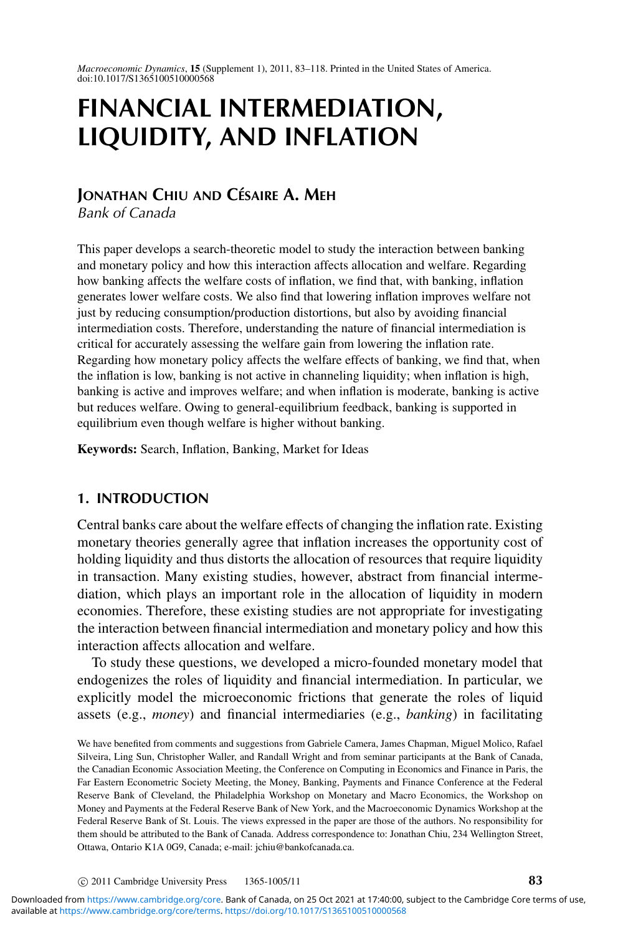*Macroeconomic Dynamics*, **15** (Supplement 1), 2011, 83–118. Printed in the United States of America. doi:10.1017/S1365100510000568

# **FINANCIAL INTERMEDIATION, LIQUIDITY, AND INFLATION**

# **JONATHAN CHIU AND CESAIRE ´ A. MEH**

Bank of Canada

This paper develops a search-theoretic model to study the interaction between banking and monetary policy and how this interaction affects allocation and welfare. Regarding how banking affects the welfare costs of inflation, we find that, with banking, inflation generates lower welfare costs. We also find that lowering inflation improves welfare not just by reducing consumption/production distortions, but also by avoiding financial intermediation costs. Therefore, understanding the nature of financial intermediation is critical for accurately assessing the welfare gain from lowering the inflation rate. Regarding how monetary policy affects the welfare effects of banking, we find that, when the inflation is low, banking is not active in channeling liquidity; when inflation is high, banking is active and improves welfare; and when inflation is moderate, banking is active but reduces welfare. Owing to general-equilibrium feedback, banking is supported in equilibrium even though welfare is higher without banking.

**Keywords:** Search, Inflation, Banking, Market for Ideas

#### **1. INTRODUCTION**

Central banks care about the welfare effects of changing the inflation rate. Existing monetary theories generally agree that inflation increases the opportunity cost of holding liquidity and thus distorts the allocation of resources that require liquidity in transaction. Many existing studies, however, abstract from financial intermediation, which plays an important role in the allocation of liquidity in modern economies. Therefore, these existing studies are not appropriate for investigating the interaction between financial intermediation and monetary policy and how this interaction affects allocation and welfare.

To study these questions, we developed a micro-founded monetary model that endogenizes the roles of liquidity and financial intermediation. In particular, we explicitly model the microeconomic frictions that generate the roles of liquid assets (e.g., *money*) and financial intermediaries (e.g., *banking*) in facilitating

We have benefited from comments and suggestions from Gabriele Camera, James Chapman, Miguel Molico, Rafael Silveira, Ling Sun, Christopher Waller, and Randall Wright and from seminar participants at the Bank of Canada, the Canadian Economic Association Meeting, the Conference on Computing in Economics and Finance in Paris, the Far Eastern Econometric Society Meeting, the Money, Banking, Payments and Finance Conference at the Federal Reserve Bank of Cleveland, the Philadelphia Workshop on Monetary and Macro Economics, the Workshop on Money and Payments at the Federal Reserve Bank of New York, and the Macroeconomic Dynamics Workshop at the Federal Reserve Bank of St. Louis. The views expressed in the paper are those of the authors. No responsibility for them should be attributed to the Bank of Canada. Address correspondence to: Jonathan Chiu, 234 Wellington Street, Ottawa, Ontario K1A 0G9, Canada; e-mail: jchiu@bankofcanada.ca.

<sup>c</sup> 2011 Cambridge University Press 1365-1005/11 **83**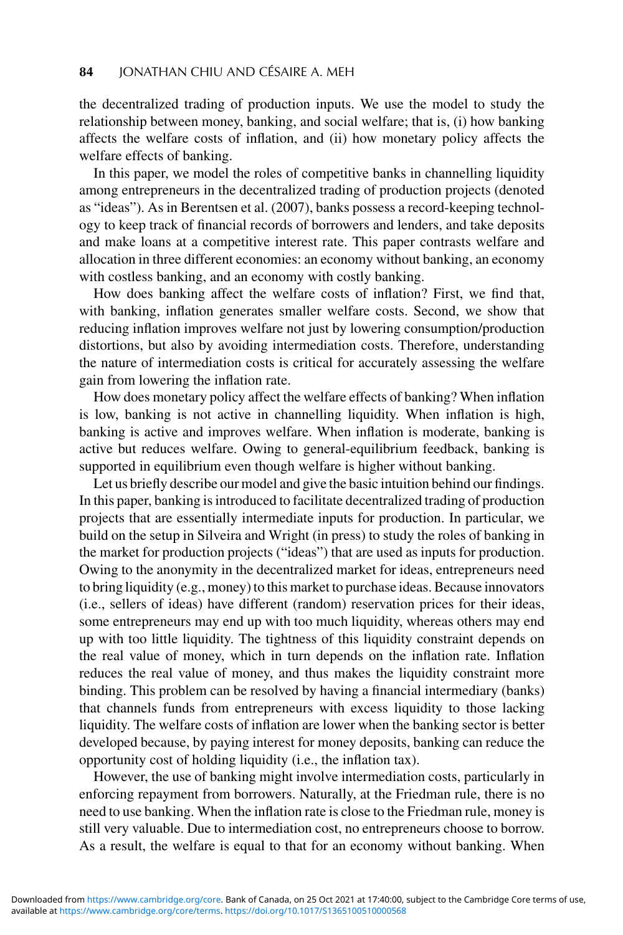the decentralized trading of production inputs. We use the model to study the relationship between money, banking, and social welfare; that is, (i) how banking affects the welfare costs of inflation, and (ii) how monetary policy affects the welfare effects of banking.

In this paper, we model the roles of competitive banks in channelling liquidity among entrepreneurs in the decentralized trading of production projects (denoted as "ideas"). As in Berentsen et al. (2007), banks possess a record-keeping technology to keep track of financial records of borrowers and lenders, and take deposits and make loans at a competitive interest rate. This paper contrasts welfare and allocation in three different economies: an economy without banking, an economy with costless banking, and an economy with costly banking.

How does banking affect the welfare costs of inflation? First, we find that, with banking, inflation generates smaller welfare costs. Second, we show that reducing inflation improves welfare not just by lowering consumption/production distortions, but also by avoiding intermediation costs. Therefore, understanding the nature of intermediation costs is critical for accurately assessing the welfare gain from lowering the inflation rate.

How does monetary policy affect the welfare effects of banking? When inflation is low, banking is not active in channelling liquidity. When inflation is high, banking is active and improves welfare. When inflation is moderate, banking is active but reduces welfare. Owing to general-equilibrium feedback, banking is supported in equilibrium even though welfare is higher without banking.

Let us briefly describe our model and give the basic intuition behind our findings. In this paper, banking is introduced to facilitate decentralized trading of production projects that are essentially intermediate inputs for production. In particular, we build on the setup in Silveira and Wright (in press) to study the roles of banking in the market for production projects ("ideas") that are used as inputs for production. Owing to the anonymity in the decentralized market for ideas, entrepreneurs need to bring liquidity (e.g., money) to this market to purchase ideas. Because innovators (i.e., sellers of ideas) have different (random) reservation prices for their ideas, some entrepreneurs may end up with too much liquidity, whereas others may end up with too little liquidity. The tightness of this liquidity constraint depends on the real value of money, which in turn depends on the inflation rate. Inflation reduces the real value of money, and thus makes the liquidity constraint more binding. This problem can be resolved by having a financial intermediary (banks) that channels funds from entrepreneurs with excess liquidity to those lacking liquidity. The welfare costs of inflation are lower when the banking sector is better developed because, by paying interest for money deposits, banking can reduce the opportunity cost of holding liquidity (i.e., the inflation tax).

However, the use of banking might involve intermediation costs, particularly in enforcing repayment from borrowers. Naturally, at the Friedman rule, there is no need to use banking. When the inflation rate is close to the Friedman rule, money is still very valuable. Due to intermediation cost, no entrepreneurs choose to borrow. As a result, the welfare is equal to that for an economy without banking. When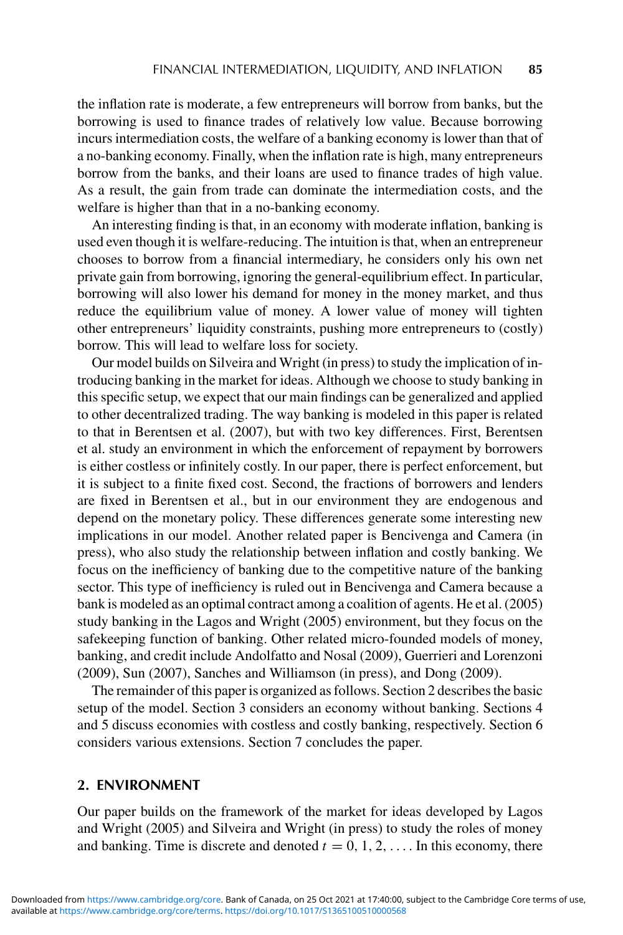the inflation rate is moderate, a few entrepreneurs will borrow from banks, but the borrowing is used to finance trades of relatively low value. Because borrowing incurs intermediation costs, the welfare of a banking economy is lower than that of a no-banking economy. Finally, when the inflation rate is high, many entrepreneurs borrow from the banks, and their loans are used to finance trades of high value. As a result, the gain from trade can dominate the intermediation costs, and the welfare is higher than that in a no-banking economy.

An interesting finding is that, in an economy with moderate inflation, banking is used even though it is welfare-reducing. The intuition is that, when an entrepreneur chooses to borrow from a financial intermediary, he considers only his own net private gain from borrowing, ignoring the general-equilibrium effect. In particular, borrowing will also lower his demand for money in the money market, and thus reduce the equilibrium value of money. A lower value of money will tighten other entrepreneurs' liquidity constraints, pushing more entrepreneurs to (costly) borrow. This will lead to welfare loss for society.

Our model builds on Silveira and Wright (in press) to study the implication of introducing banking in the market for ideas. Although we choose to study banking in this specific setup, we expect that our main findings can be generalized and applied to other decentralized trading. The way banking is modeled in this paper is related to that in Berentsen et al. (2007), but with two key differences. First, Berentsen et al. study an environment in which the enforcement of repayment by borrowers is either costless or infinitely costly. In our paper, there is perfect enforcement, but it is subject to a finite fixed cost. Second, the fractions of borrowers and lenders are fixed in Berentsen et al., but in our environment they are endogenous and depend on the monetary policy. These differences generate some interesting new implications in our model. Another related paper is Bencivenga and Camera (in press), who also study the relationship between inflation and costly banking. We focus on the inefficiency of banking due to the competitive nature of the banking sector. This type of inefficiency is ruled out in Bencivenga and Camera because a bank is modeled as an optimal contract among a coalition of agents. He et al. (2005) study banking in the Lagos and Wright (2005) environment, but they focus on the safekeeping function of banking. Other related micro-founded models of money, banking, and credit include Andolfatto and Nosal (2009), Guerrieri and Lorenzoni (2009), Sun (2007), Sanches and Williamson (in press), and Dong (2009).

The remainder of this paper is organized as follows. Section 2 describes the basic setup of the model. Section 3 considers an economy without banking. Sections 4 and 5 discuss economies with costless and costly banking, respectively. Section 6 considers various extensions. Section 7 concludes the paper.

#### **2. ENVIRONMENT**

Our paper builds on the framework of the market for ideas developed by Lagos and Wright (2005) and Silveira and Wright (in press) to study the roles of money and banking. Time is discrete and denoted  $t = 0, 1, 2, \ldots$  In this economy, there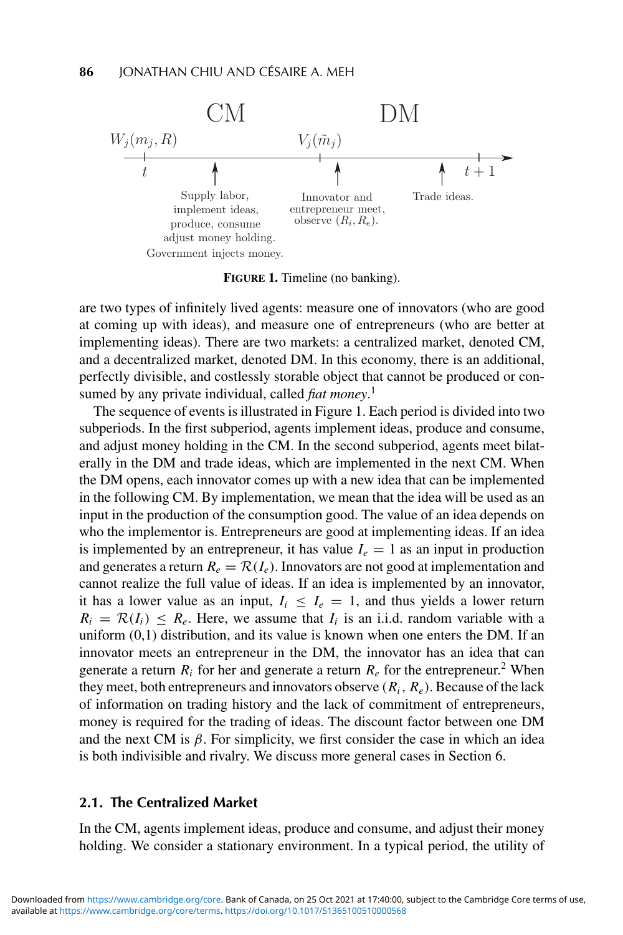

**FIGURE 1.** Timeline (no banking).

are two types of infinitely lived agents: measure one of innovators (who are good at coming up with ideas), and measure one of entrepreneurs (who are better at implementing ideas). There are two markets: a centralized market, denoted CM, and a decentralized market, denoted DM. In this economy, there is an additional, perfectly divisible, and costlessly storable object that cannot be produced or consumed by any private individual, called *fiat money*. 1

The sequence of events is illustrated in Figure 1. Each period is divided into two subperiods. In the first subperiod, agents implement ideas, produce and consume, and adjust money holding in the CM. In the second subperiod, agents meet bilaterally in the DM and trade ideas, which are implemented in the next CM. When the DM opens, each innovator comes up with a new idea that can be implemented in the following CM. By implementation, we mean that the idea will be used as an input in the production of the consumption good. The value of an idea depends on who the implementor is. Entrepreneurs are good at implementing ideas. If an idea is implemented by an entrepreneur, it has value  $I_e = 1$  as an input in production and generates a return  $R_e = \mathcal{R}(I_e)$ . Innovators are not good at implementation and cannot realize the full value of ideas. If an idea is implemented by an innovator, it has a lower value as an input,  $I_i \leq I_e = 1$ , and thus yields a lower return  $R_i = \mathcal{R}(I_i) \leq R_e$ . Here, we assume that  $I_i$  is an i.i.d. random variable with a uniform  $(0,1)$  distribution, and its value is known when one enters the DM. If an innovator meets an entrepreneur in the DM, the innovator has an idea that can generate a return  $R_i$  for her and generate a return  $R_e$  for the entrepreneur.<sup>2</sup> When they meet, both entrepreneurs and innovators observe  $(R_i, R_e)$ . Because of the lack of information on trading history and the lack of commitment of entrepreneurs, money is required for the trading of ideas. The discount factor between one DM and the next CM is  $\beta$ . For simplicity, we first consider the case in which an idea is both indivisible and rivalry. We discuss more general cases in Section 6.

### **2.1. The Centralized Market**

In the CM, agents implement ideas, produce and consume, and adjust their money holding. We consider a stationary environment. In a typical period, the utility of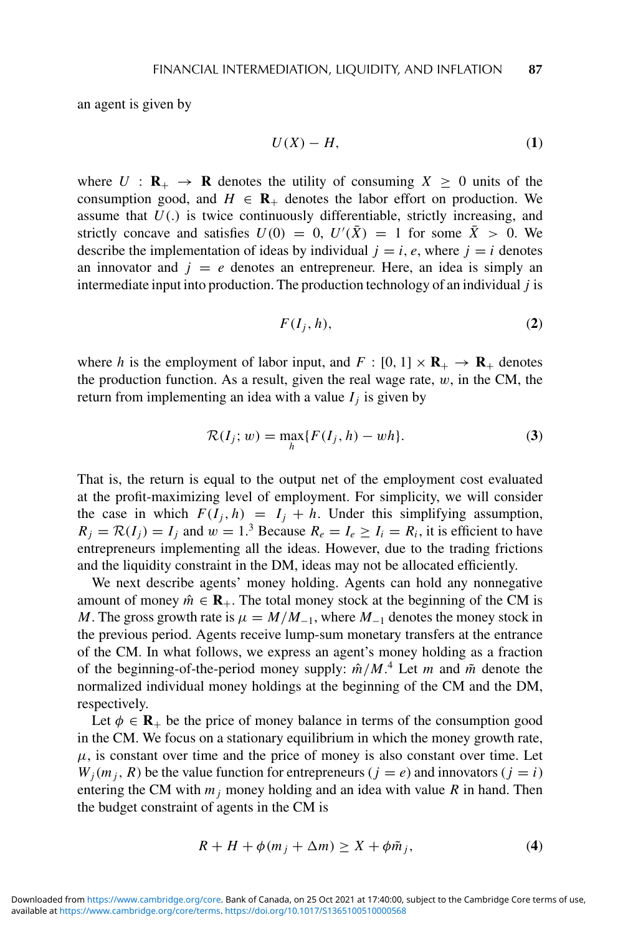an agent is given by

$$
U(X) - H,\tag{1}
$$

where  $U : \mathbf{R}_{+} \to \mathbf{R}$  denotes the utility of consuming  $X \geq 0$  units of the consumption good, and  $H \in \mathbf{R}_+$  denotes the labor effort on production. We assume that  $U(.)$  is twice continuously differentiable, strictly increasing, and strictly concave and satisfies  $U(0) = 0$ ,  $U'(\bar{X}) = 1$  for some  $\bar{X} > 0$ . We describe the implementation of ideas by individual  $j = i, e$ , where  $j = i$  denotes an innovator and  $j = e$  denotes an entrepreneur. Here, an idea is simply an intermediate input into production. The production technology of an individual *j* is

$$
F(I_j, h), \tag{2}
$$

where *h* is the employment of labor input, and  $F : [0, 1] \times \mathbf{R}_+ \to \mathbf{R}_+$  denotes the production function. As a result, given the real wage rate, *w*, in the CM, the return from implementing an idea with a value  $I_i$  is given by

$$
\mathcal{R}(I_j; w) = \max_{h} \{ F(I_j, h) - wh \}. \tag{3}
$$

That is, the return is equal to the output net of the employment cost evaluated at the profit-maximizing level of employment. For simplicity, we will consider the case in which  $F(I_j, h) = I_j + h$ . Under this simplifying assumption,  $R_i = \mathcal{R}(I_i) = I_i$  and  $w = 1$ .<sup>3</sup> Because  $R_e = I_e \geq I_i = R_i$ , it is efficient to have entrepreneurs implementing all the ideas. However, due to the trading frictions and the liquidity constraint in the DM, ideas may not be allocated efficiently.

We next describe agents' money holding. Agents can hold any nonnegative amount of money  $\hat{m} \in \mathbf{R}_{+}$ . The total money stock at the beginning of the CM is *M*. The gross growth rate is  $\mu = M/M_{-1}$ , where  $M_{-1}$  denotes the money stock in the previous period. Agents receive lump-sum monetary transfers at the entrance of the CM. In what follows, we express an agent's money holding as a fraction of the beginning-of-the-period money supply:  $\hat{m}/M$ <sup>4</sup>. Let *m* and  $\tilde{m}$  denote the normalized individual money holdings at the beginning of the CM and the DM, respectively.

Let  $\phi \in \mathbf{R}_+$  be the price of money balance in terms of the consumption good in the CM. We focus on a stationary equilibrium in which the money growth rate,  $\mu$ , is constant over time and the price of money is also constant over time. Let  $W_i(m_i, R)$  be the value function for entrepreneurs ( $j = e$ ) and innovators ( $j = i$ ) entering the CM with  $m_j$  money holding and an idea with value  $R$  in hand. Then the budget constraint of agents in the CM is

$$
R + H + \phi(m_j + \Delta m) \ge X + \phi \tilde{m}_j,
$$
 (4)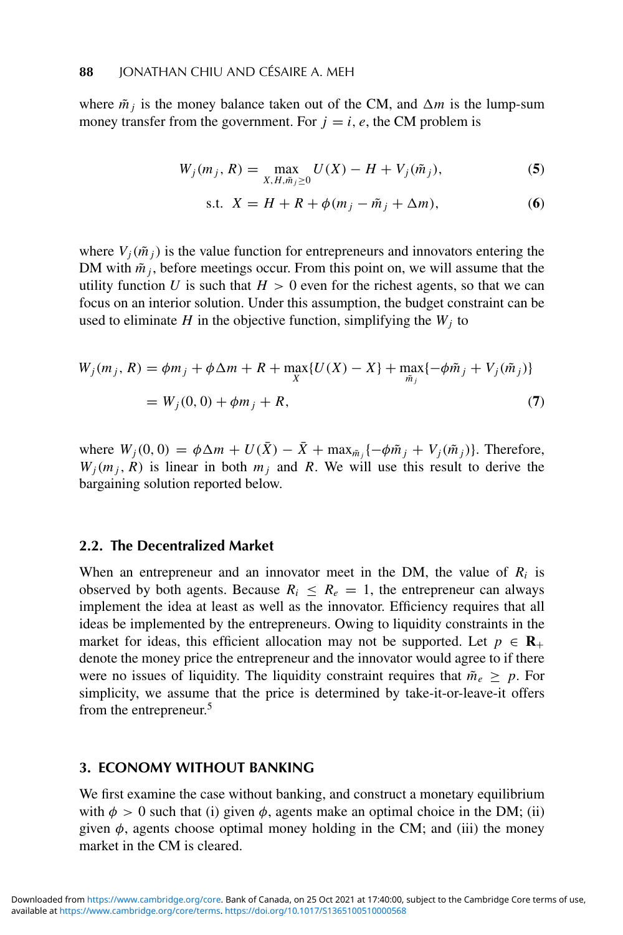where  $\tilde{m}_i$  is the money balance taken out of the CM, and  $\Delta m$  is the lump-sum money transfer from the government. For  $j = i, e$ , the CM problem is

$$
W_j(m_j, R) = \max_{X, H, \tilde{m}_j \ge 0} U(X) - H + V_j(\tilde{m}_j),
$$
 (5)

$$
\text{s.t. } X = H + R + \phi(m_j - \tilde{m}_j + \Delta m), \tag{6}
$$

where  $V_i(\tilde{m}_i)$  is the value function for entrepreneurs and innovators entering the DM with  $\tilde{m}$ <sub>*i*</sub>, before meetings occur. From this point on, we will assume that the utility function *U* is such that  $H > 0$  even for the richest agents, so that we can focus on an interior solution. Under this assumption, the budget constraint can be used to eliminate *H* in the objective function, simplifying the  $W_i$  to

$$
W_j(m_j, R) = \phi m_j + \phi \Delta m + R + \max_X \{ U(X) - X \} + \max_{\tilde{m}_j} \{ -\phi \tilde{m}_j + V_j(\tilde{m}_j) \}
$$
  
=  $W_j(0, 0) + \phi m_j + R,$  (7)

where  $W_i(0,0) = \phi \Delta m + U(\bar{X}) - \bar{X} + \max_{\tilde{m}_i} \{-\phi \tilde{m}_i + V_i(\tilde{m}_i)\}\)$ . Therefore,  $W_i(m_i, R)$  is linear in both  $m_i$  and R. We will use this result to derive the bargaining solution reported below.

#### **2.2. The Decentralized Market**

When an entrepreneur and an innovator meet in the DM, the value of  $R_i$  is observed by both agents. Because  $R_i \leq R_e = 1$ , the entrepreneur can always implement the idea at least as well as the innovator. Efficiency requires that all ideas be implemented by the entrepreneurs. Owing to liquidity constraints in the market for ideas, this efficient allocation may not be supported. Let  $p \in \mathbb{R}_+$ denote the money price the entrepreneur and the innovator would agree to if there were no issues of liquidity. The liquidity constraint requires that  $\tilde{m}_e \geq p$ . For simplicity, we assume that the price is determined by take-it-or-leave-it offers from the entrepreneur.<sup>5</sup>

#### **3. ECONOMY WITHOUT BANKING**

We first examine the case without banking, and construct a monetary equilibrium with  $\phi > 0$  such that (i) given  $\phi$ , agents make an optimal choice in the DM; (ii) given  $\phi$ , agents choose optimal money holding in the CM; and (iii) the money market in the CM is cleared.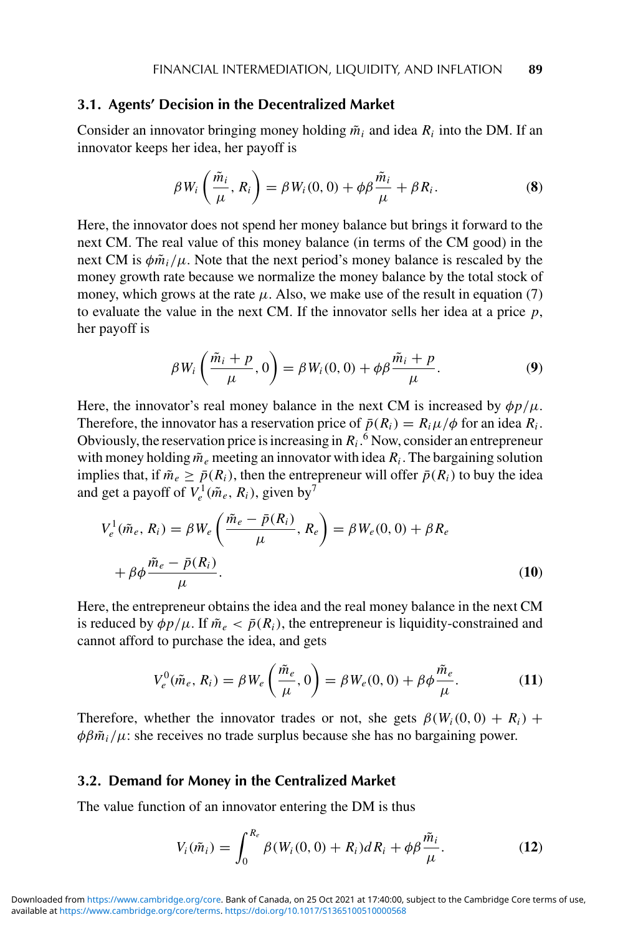#### **3.1. Agents' Decision in the Decentralized Market**

Consider an innovator bringing money holding  $\tilde{m}_i$  and idea  $R_i$  into the DM. If an innovator keeps her idea, her payoff is

$$
\beta W_i\left(\frac{\tilde{m}_i}{\mu}, R_i\right) = \beta W_i(0, 0) + \phi \beta \frac{\tilde{m}_i}{\mu} + \beta R_i.
$$
 (8)

Here, the innovator does not spend her money balance but brings it forward to the next CM. The real value of this money balance (in terms of the CM good) in the next CM is  $\phi \tilde{m}_i / \mu$ . Note that the next period's money balance is rescaled by the money growth rate because we normalize the money balance by the total stock of money, which grows at the rate  $\mu$ . Also, we make use of the result in equation (7) to evaluate the value in the next CM. If the innovator sells her idea at a price *p*, her payoff is

$$
\beta W_i\left(\frac{\tilde{m}_i+p}{\mu},0\right) = \beta W_i(0,0) + \phi \beta \frac{\tilde{m}_i+p}{\mu}.
$$
 (9)

Here, the innovator's real money balance in the next CM is increased by  $\phi p/\mu$ . Therefore, the innovator has a reservation price of  $\bar{p}(R_i) = R_i \mu/\phi$  for an idea  $R_i$ . Obviously, the reservation price is increasing in  $R_i$ .<sup>6</sup> Now, consider an entrepreneur with money holding  $\tilde{m}_e$  meeting an innovator with idea  $R_i$ . The bargaining solution implies that, if  $\tilde{m}_e \ge \bar{p}(R_i)$ , then the entrepreneur will offer  $\bar{p}(R_i)$  to buy the idea and get a payoff of  $V_e^1(\tilde{m}_e, R_i)$ , given by<sup>7</sup>

$$
V_e^1(\tilde{m}_e, R_i) = \beta W_e \left( \frac{\tilde{m}_e - \bar{p}(R_i)}{\mu}, R_e \right) = \beta W_e(0, 0) + \beta R_e
$$
  
+  $\beta \phi \frac{\tilde{m}_e - \bar{p}(R_i)}{\mu}.$  (10)

Here, the entrepreneur obtains the idea and the real money balance in the next CM is reduced by  $\phi p/\mu$ . If  $\tilde{m}_e < \bar{p}(R_i)$ , the entrepreneur is liquidity-constrained and cannot afford to purchase the idea, and gets

$$
V_e^0(\tilde{m}_e, R_i) = \beta W_e \left( \frac{\tilde{m}_e}{\mu}, 0 \right) = \beta W_e(0, 0) + \beta \phi \frac{\tilde{m}_e}{\mu}.
$$
 (11)

Therefore, whether the innovator trades or not, she gets  $\beta(W_i(0, 0) + R_i)$  +  $\phi\beta\tilde{m}_i/\mu$ : she receives no trade surplus because she has no bargaining power.

# **3.2. Demand for Money in the Centralized Market**

The value function of an innovator entering the DM is thus

$$
V_i(\tilde{m}_i) = \int_0^{R_e} \beta(W_i(0,0) + R_i) dR_i + \phi \beta \frac{\tilde{m}_i}{\mu}.
$$
 (12)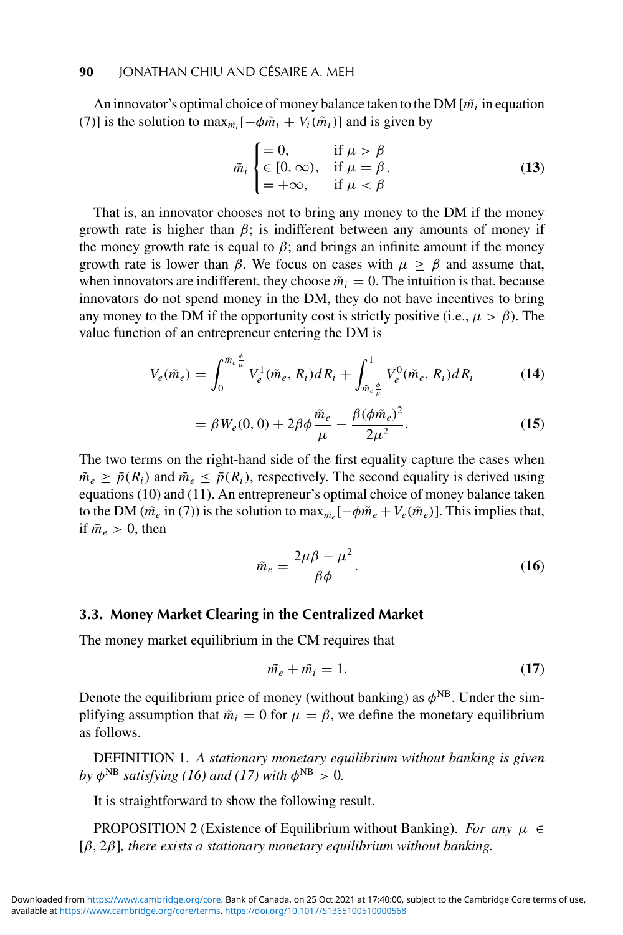An innovator's optimal choice of money balance taken to the DM  $[\tilde{m_i}]$  in equation (7)] is the solution to  $\max_{\tilde{m}}[-\phi \tilde{m}_i + V_i(\tilde{m}_i)]$  and is given by

$$
\tilde{m}_i \begin{cases}\n= 0, & \text{if } \mu > \beta \\
\in [0, \infty), & \text{if } \mu = \beta \\
= +\infty, & \text{if } \mu < \beta\n\end{cases}
$$
\n(13)

That is, an innovator chooses not to bring any money to the DM if the money growth rate is higher than  $\beta$ ; is indifferent between any amounts of money if the money growth rate is equal to  $\beta$ ; and brings an infinite amount if the money growth rate is lower than  $\beta$ . We focus on cases with  $\mu \geq \beta$  and assume that, when innovators are indifferent, they choose  $\tilde{m}_i = 0$ . The intuition is that, because innovators do not spend money in the DM, they do not have incentives to bring any money to the DM if the opportunity cost is strictly positive (i.e.,  $\mu > \beta$ ). The value function of an entrepreneur entering the DM is

$$
V_e(\tilde{m}_e) = \int_0^{\tilde{m}_e \frac{\phi}{\mu}} V_e^1(\tilde{m}_e, R_i) dR_i + \int_{\tilde{m}_e \frac{\phi}{\mu}}^1 V_e^0(\tilde{m}_e, R_i) dR_i \tag{14}
$$

$$
= \beta W_e(0,0) + 2\beta \phi \frac{\tilde{m}_e}{\mu} - \frac{\beta (\phi \tilde{m}_e)^2}{2\mu^2}.
$$
 (15)

The two terms on the right-hand side of the first equality capture the cases when  $\tilde{m}_e \ge \bar{p}(R_i)$  and  $\tilde{m}_e \le \bar{p}(R_i)$ , respectively. The second equality is derived using equations (10) and (11). An entrepreneur's optimal choice of money balance taken to the DM ( $\tilde{m}_{e}$  in (7)) is the solution to max<sub> $\tilde{m}_{e}$ </sub> [ $-\phi \tilde{m}_{e} + V_{e}(\tilde{m}_{e})$ ]. This implies that, if  $\tilde{m}_e > 0$ , then

$$
\tilde{m}_e = \frac{2\mu\beta - \mu^2}{\beta\phi}.\tag{16}
$$

# **3.3. Money Market Clearing in the Centralized Market**

The money market equilibrium in the CM requires that

$$
\tilde{m}_e + \tilde{m}_i = 1. \tag{17}
$$

Denote the equilibrium price of money (without banking) as  $\phi^{NB}$ . Under the simplifying assumption that  $\tilde{m}_i = 0$  for  $\mu = \beta$ , we define the monetary equilibrium as follows.

DEFINITION 1. *A stationary monetary equilibrium without banking is given by*  $\phi^{\text{NB}}$  *satisfying* (16) and (17) with  $\phi^{\text{NB}} > 0$ .

It is straightforward to show the following result.

**PROPOSITION** 2 (Existence of Equilibrium without Banking). *For any*  $\mu \in$ [*β,* 2*β*]*, there exists a stationary monetary equilibrium without banking.*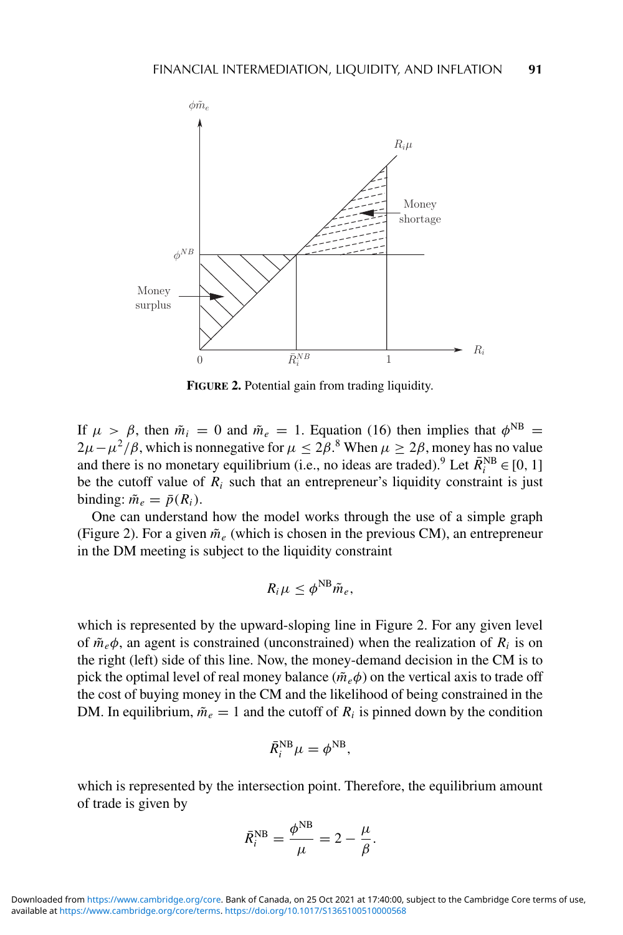

**FIGURE 2.** Potential gain from trading liquidity.

If  $\mu > \beta$ , then  $\tilde{m}_i = 0$  and  $\tilde{m}_e = 1$ . Equation (16) then implies that  $\phi^{NB} =$  $2\mu - \mu^2/\beta$ , which is nonnegative for  $\mu \le 2\beta$ .<sup>8</sup> When  $\mu \ge 2\beta$ , money has no value and there is no monetary equilibrium (i.e., no ideas are traded).<sup>9</sup> Let  $\bar{R}_i^{NB} \in [0, 1]$ be the cutoff value of  $R_i$  such that an entrepreneur's liquidity constraint is just binding:  $\tilde{m}_e = \bar{p}(R_i)$ .

One can understand how the model works through the use of a simple graph (Figure 2). For a given  $\tilde{m}_e$  (which is chosen in the previous CM), an entrepreneur in the DM meeting is subject to the liquidity constraint

$$
R_i \mu \leq \phi^{\text{NB}} \tilde{m}_e,
$$

which is represented by the upward-sloping line in Figure 2. For any given level of  $\tilde{m}_e\phi$ , an agent is constrained (unconstrained) when the realization of  $R_i$  is on the right (left) side of this line. Now, the money-demand decision in the CM is to pick the optimal level of real money balance ( $\tilde{m}_{e}\phi$ ) on the vertical axis to trade off the cost of buying money in the CM and the likelihood of being constrained in the DM. In equilibrium,  $\tilde{m}_e = 1$  and the cutoff of  $R_i$  is pinned down by the condition

$$
\bar{R}_i^{\text{NB}}\mu = \phi^{\text{NB}},
$$

which is represented by the intersection point. Therefore, the equilibrium amount of trade is given by

$$
\bar{R}_i^{\text{NB}} = \frac{\phi^{\text{NB}}}{\mu} = 2 - \frac{\mu}{\beta}.
$$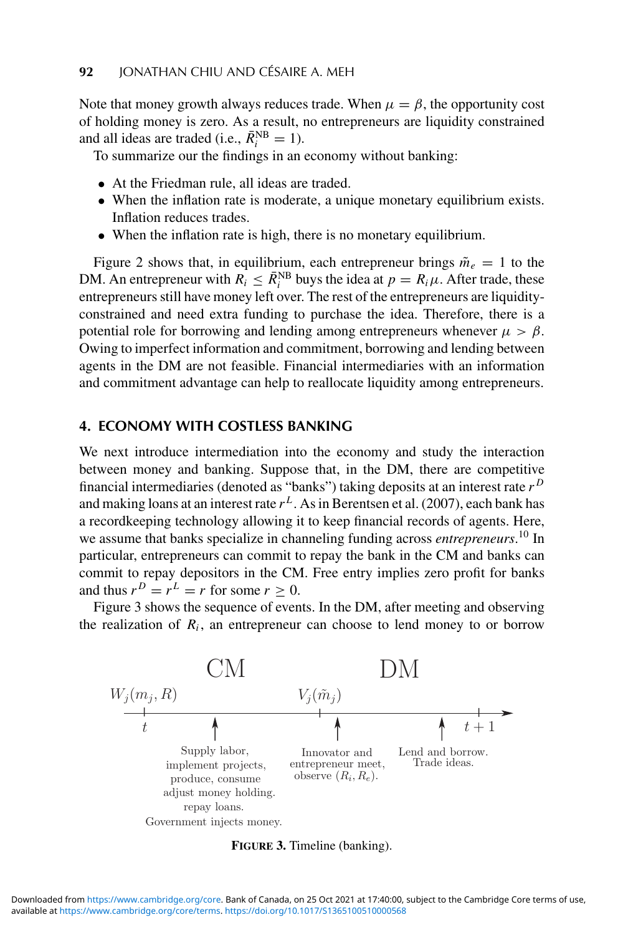Note that money growth always reduces trade. When  $\mu = \beta$ , the opportunity cost of holding money is zero. As a result, no entrepreneurs are liquidity constrained and all ideas are traded (i.e.,  $\bar{R}_i^{\text{NB}} = 1$ ).

To summarize our the findings in an economy without banking:

- At the Friedman rule, all ideas are traded.
- When the inflation rate is moderate, a unique monetary equilibrium exists. Inflation reduces trades.
- When the inflation rate is high, there is no monetary equilibrium.

Figure 2 shows that, in equilibrium, each entrepreneur brings  $\tilde{m}_e = 1$  to the DM. An entrepreneur with  $R_i \leq \bar{R}_i^{NB}$  buys the idea at  $p = R_i \mu$ . After trade, these entrepreneurs still have money left over. The rest of the entrepreneurs are liquidityconstrained and need extra funding to purchase the idea. Therefore, there is a potential role for borrowing and lending among entrepreneurs whenever  $\mu > \beta$ . Owing to imperfect information and commitment, borrowing and lending between agents in the DM are not feasible. Financial intermediaries with an information and commitment advantage can help to reallocate liquidity among entrepreneurs.

#### **4. ECONOMY WITH COSTLESS BANKING**

We next introduce intermediation into the economy and study the interaction between money and banking. Suppose that, in the DM, there are competitive financial intermediaries (denoted as "banks") taking deposits at an interest rate *r<sup>D</sup>* and making loans at an interest rate  $r<sup>L</sup>$ . As in Berentsen et al. (2007), each bank has a recordkeeping technology allowing it to keep financial records of agents. Here, we assume that banks specialize in channeling funding across *entrepreneurs*. <sup>10</sup> In particular, entrepreneurs can commit to repay the bank in the CM and banks can commit to repay depositors in the CM. Free entry implies zero profit for banks and thus  $r^D = r^L = r$  for some  $r \geq 0$ .

Figure 3 shows the sequence of events. In the DM, after meeting and observing the realization of  $R_i$ , an entrepreneur can choose to lend money to or borrow



**FIGURE 3.** Timeline (banking).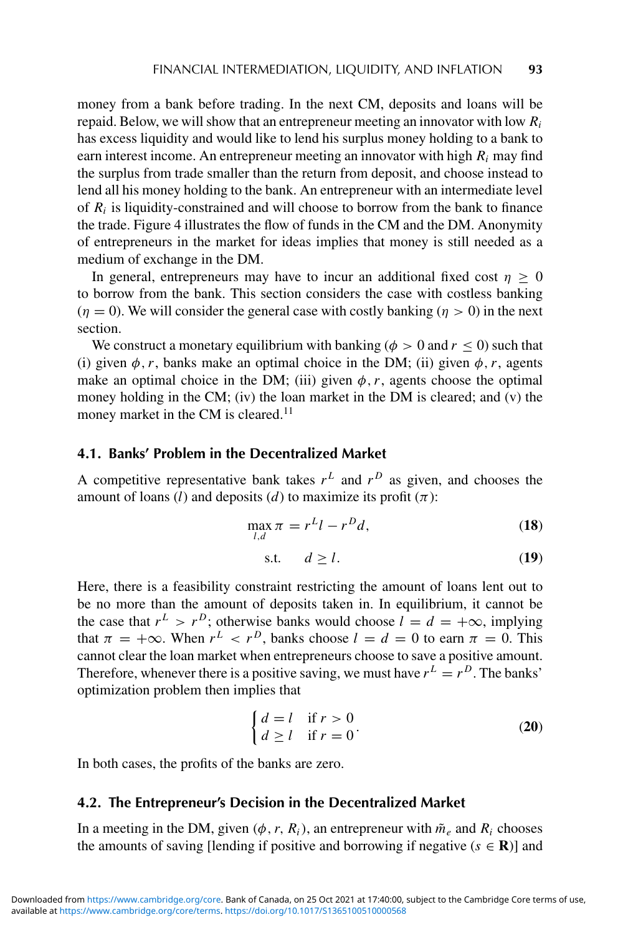money from a bank before trading. In the next CM, deposits and loans will be repaid. Below, we will show that an entrepreneur meeting an innovator with low *Ri* has excess liquidity and would like to lend his surplus money holding to a bank to earn interest income. An entrepreneur meeting an innovator with high *Ri* may find the surplus from trade smaller than the return from deposit, and choose instead to lend all his money holding to the bank. An entrepreneur with an intermediate level of  $R_i$  is liquidity-constrained and will choose to borrow from the bank to finance the trade. Figure 4 illustrates the flow of funds in the CM and the DM. Anonymity of entrepreneurs in the market for ideas implies that money is still needed as a medium of exchange in the DM.

In general, entrepreneurs may have to incur an additional fixed cost  $\eta \geq 0$ to borrow from the bank. This section considers the case with costless banking  $(\eta = 0)$ . We will consider the general case with costly banking  $(\eta > 0)$  in the next section.

We construct a monetary equilibrium with banking ( $\phi > 0$  and  $r \leq 0$ ) such that (i) given  $\phi$ , r, banks make an optimal choice in the DM; (ii) given  $\phi$ , r, agents make an optimal choice in the DM; (iii) given  $\phi$ , r, agents choose the optimal money holding in the CM; (iv) the loan market in the DM is cleared; and (v) the money market in the CM is cleared.<sup>11</sup>

#### **4.1. Banks' Problem in the Decentralized Market**

A competitive representative bank takes  $r^L$  and  $r^D$  as given, and chooses the amount of loans (*l*) and deposits (*d*) to maximize its profit  $(\pi)$ :

$$
\max_{l,d} \pi = r^L l - r^D d,\tag{18}
$$

$$
\text{s.t.} \qquad d \ge l. \tag{19}
$$

Here, there is a feasibility constraint restricting the amount of loans lent out to be no more than the amount of deposits taken in. In equilibrium, it cannot be the case that  $r^L > r^D$ ; otherwise banks would choose  $l = d = +\infty$ , implying that  $\pi = +\infty$ . When  $r^L < r^D$ , banks choose  $l = d = 0$  to earn  $\pi = 0$ . This cannot clear the loan market when entrepreneurs choose to save a positive amount. Therefore, whenever there is a positive saving, we must have  $r^L = r^D$ . The banks' optimization problem then implies that

$$
\begin{cases}\nd = l & \text{if } r > 0 \\
d \ge l & \text{if } r = 0\n\end{cases}
$$
\n(20)

In both cases, the profits of the banks are zero.

#### **4.2. The Entrepreneur's Decision in the Decentralized Market**

In a meeting in the DM, given  $(\phi, r, R_i)$ , an entrepreneur with  $\tilde{m}_e$  and  $R_i$  chooses the amounts of saving [lending if positive and borrowing if negative  $(s \in \mathbf{R})$ ] and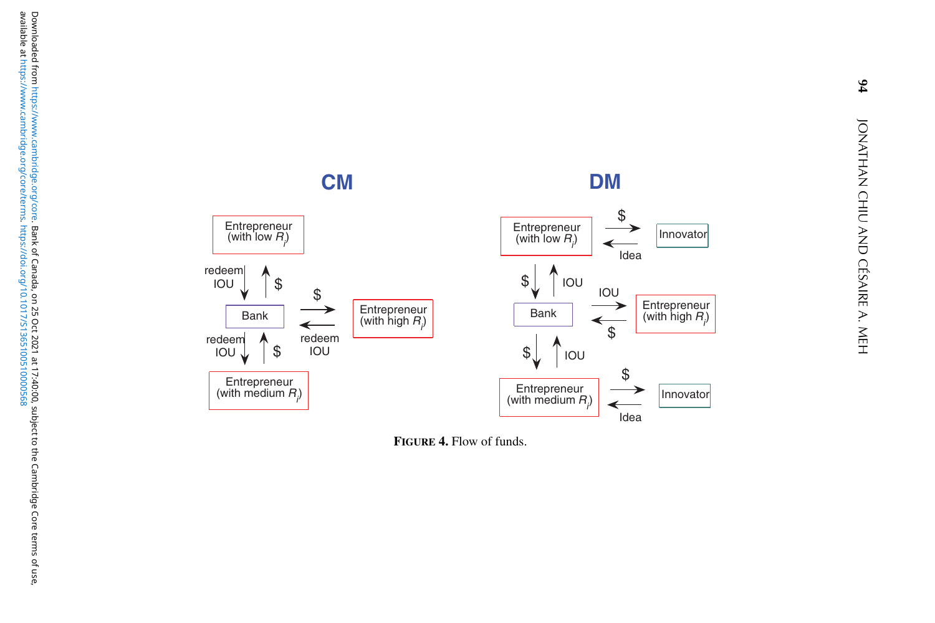



**DM**



**FIGURE 4.** Flow of funds.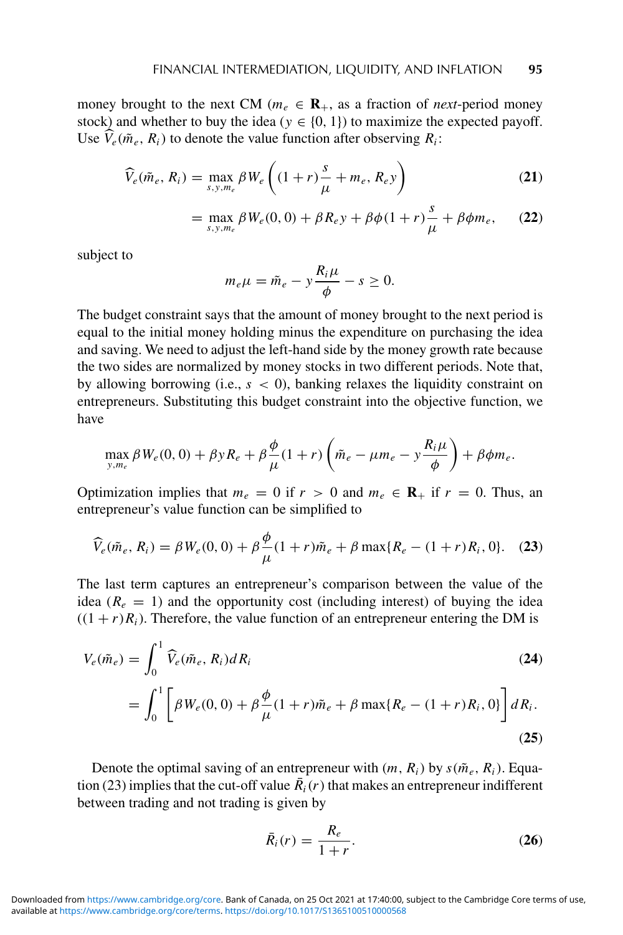money brought to the next CM ( $m_e \in \mathbf{R}_+$ , as a fraction of *next*-period money stock) and whether to buy the idea ( $y \in \{0, 1\}$ ) to maximize the expected payoff. Use  $V_e(\tilde{m}_e, R_i)$  to denote the value function after observing  $R_i$ :

$$
\widehat{V}_e(\tilde{m}_e, R_i) = \max_{s, y, m_e} \beta W_e \left( (1+r) \frac{s}{\mu} + m_e, R_e y \right)
$$
 (21)

$$
= \max_{s,y,m_e} \beta W_e(0,0) + \beta R_e y + \beta \phi (1+r) \frac{s}{\mu} + \beta \phi m_e, \quad (22)
$$

subject to

$$
m_e \mu = \tilde{m}_e - y \frac{R_i \mu}{\phi} - s \ge 0.
$$

The budget constraint says that the amount of money brought to the next period is equal to the initial money holding minus the expenditure on purchasing the idea and saving. We need to adjust the left-hand side by the money growth rate because the two sides are normalized by money stocks in two different periods. Note that, by allowing borrowing (i.e.,  $s < 0$ ), banking relaxes the liquidity constraint on entrepreneurs. Substituting this budget constraint into the objective function, we have

$$
\max_{y,m_e} \beta W_e(0,0) + \beta y R_e + \beta \frac{\phi}{\mu} (1+r) \left( \tilde{m}_e - \mu m_e - y \frac{R_i \mu}{\phi} \right) + \beta \phi m_e.
$$

Optimization implies that  $m_e = 0$  if  $r > 0$  and  $m_e \in \mathbf{R}_+$  if  $r = 0$ . Thus, an entrepreneur's value function can be simplified to

$$
\widehat{V}_e(\tilde{m}_e, R_i) = \beta W_e(0, 0) + \beta \frac{\phi}{\mu} (1+r) \tilde{m}_e + \beta \max\{R_e - (1+r)R_i, 0\}. \tag{23}
$$

The last term captures an entrepreneur's comparison between the value of the idea  $(R_e = 1)$  and the opportunity cost (including interest) of buying the idea  $((1 + r)R<sub>i</sub>)$ . Therefore, the value function of an entrepreneur entering the DM is

$$
V_e(\tilde{m}_e) = \int_0^1 \widehat{V}_e(\tilde{m}_e, R_i) dR_i
$$
\n(24)

$$
= \int_0^1 \left[ \beta W_e(0,0) + \beta \frac{\phi}{\mu} (1+r) \tilde{m}_e + \beta \max\{R_e - (1+r)R_i, 0\} \right] dR_i.
$$
\n(25)

Denote the optimal saving of an entrepreneur with  $(m, R_i)$  by  $s(\tilde{m}_e, R_i)$ . Equation (23) implies that the cut-off value  $\bar{R}_i(r)$  that makes an entrepreneur indifferent between trading and not trading is given by

$$
\bar{R}_i(r) = \frac{R_e}{1+r}.\tag{26}
$$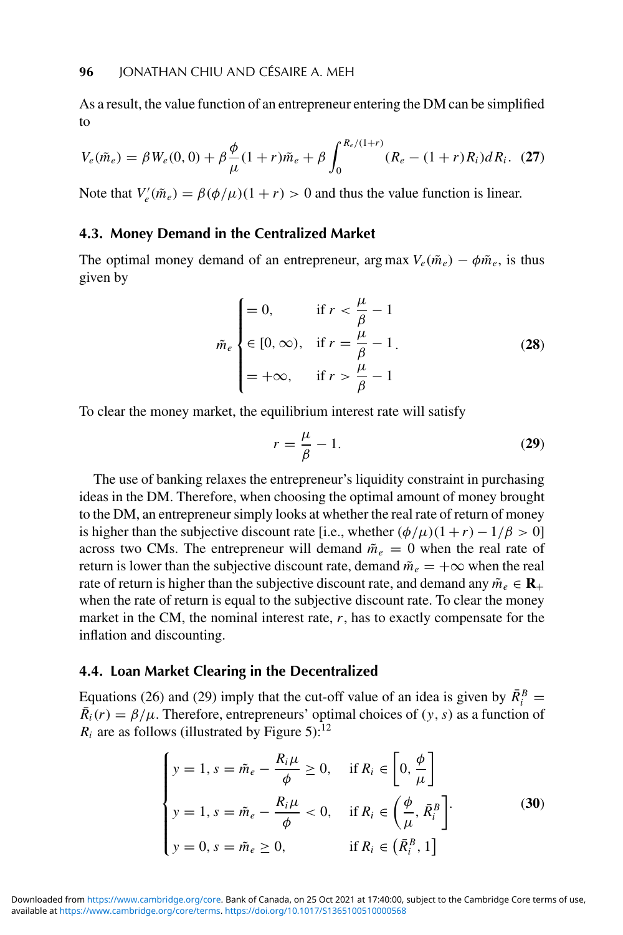As a result, the value function of an entrepreneur entering the DM can be simplified to

$$
V_e(\tilde{m}_e) = \beta W_e(0,0) + \beta \frac{\phi}{\mu} (1+r) \tilde{m}_e + \beta \int_0^{R_e/(1+r)} (R_e - (1+r)R_i) dR_i.
$$
 (27)

Note that  $V'_e(\tilde{m}_e) = \beta(\phi/\mu)(1+r) > 0$  and thus the value function is linear.

#### **4.3. Money Demand in the Centralized Market**

The optimal money demand of an entrepreneur, arg max  $V_e(\tilde{m}_e) - \phi \tilde{m}_e$ , is thus given by

$$
\tilde{m}_e \begin{cases}\n= 0, & \text{if } r < \frac{\mu}{\beta} - 1 \\
\in [0, \infty), & \text{if } r = \frac{\mu}{\beta} - 1 \\
= +\infty, & \text{if } r > \frac{\mu}{\beta} - 1\n\end{cases}\n\tag{28}
$$

To clear the money market, the equilibrium interest rate will satisfy

$$
r = \frac{\mu}{\beta} - 1.
$$
 (29)

The use of banking relaxes the entrepreneur's liquidity constraint in purchasing ideas in the DM. Therefore, when choosing the optimal amount of money brought to the DM, an entrepreneur simply looks at whether the real rate of return of money is higher than the subjective discount rate [i.e., whether  $(\phi/\mu)(1 + r) - 1/\beta > 0$ ] across two CMs. The entrepreneur will demand  $\tilde{m}_e = 0$  when the real rate of return is lower than the subjective discount rate, demand  $\tilde{m}_e = +\infty$  when the real rate of return is higher than the subjective discount rate, and demand any  $\tilde{m}_e \in \mathbf{R}_+$ when the rate of return is equal to the subjective discount rate. To clear the money market in the CM, the nominal interest rate, *r*, has to exactly compensate for the inflation and discounting.

#### **4.4. Loan Market Clearing in the Decentralized**

Equations (26) and (29) imply that the cut-off value of an idea is given by  $\bar{R}^B_i$  =  $\bar{R}_i(r) = \beta/\mu$ . Therefore, entrepreneurs' optimal choices of *(y, s)* as a function of  $R_i$  are as follows (illustrated by Figure 5):<sup>12</sup>

$$
\begin{cases}\ny = 1, s = \tilde{m}_e - \frac{R_i \mu}{\phi} \ge 0, & \text{if } R_i \in \left[0, \frac{\phi}{\mu}\right] \\
y = 1, s = \tilde{m}_e - \frac{R_i \mu}{\phi} < 0, & \text{if } R_i \in \left(\frac{\phi}{\mu}, \bar{R}_i^B\right] \\
y = 0, s = \tilde{m}_e \ge 0, & \text{if } R_i \in \left(\bar{R}_i^B, 1\right]\n\end{cases} \tag{30}
$$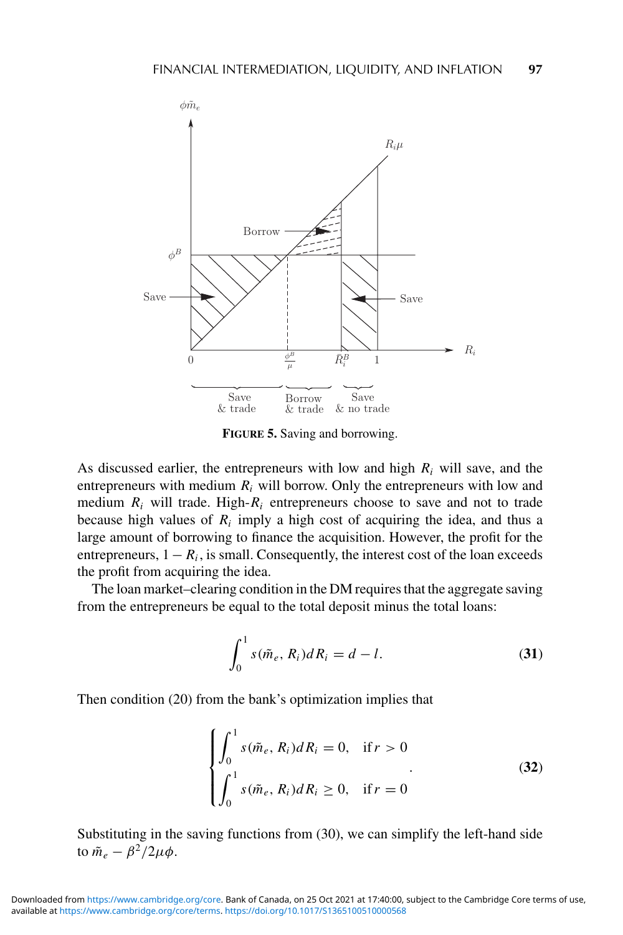

**FIGURE 5.** Saving and borrowing.

As discussed earlier, the entrepreneurs with low and high *Ri* will save, and the entrepreneurs with medium *Ri* will borrow. Only the entrepreneurs with low and medium  $R_i$  will trade. High- $R_i$  entrepreneurs choose to save and not to trade because high values of  $R_i$  imply a high cost of acquiring the idea, and thus a large amount of borrowing to finance the acquisition. However, the profit for the entrepreneurs, 1−*Ri*, is small. Consequently, the interest cost of the loan exceeds the profit from acquiring the idea.

The loan market–clearing condition in the DM requires that the aggregate saving from the entrepreneurs be equal to the total deposit minus the total loans:

$$
\int_0^1 s(\tilde{m}_e, R_i) dR_i = d - l. \tag{31}
$$

Then condition (20) from the bank's optimization implies that

$$
\begin{cases}\n\int_0^1 s(\tilde{m}_e, R_i) dR_i = 0, & \text{if } r > 0 \\
\int_0^1 s(\tilde{m}_e, R_i) dR_i \ge 0, & \text{if } r = 0\n\end{cases}
$$
\n(32)

Substituting in the saving functions from (30), we can simplify the left-hand side to  $\tilde{m}_e - \beta^2/2\mu\phi$ .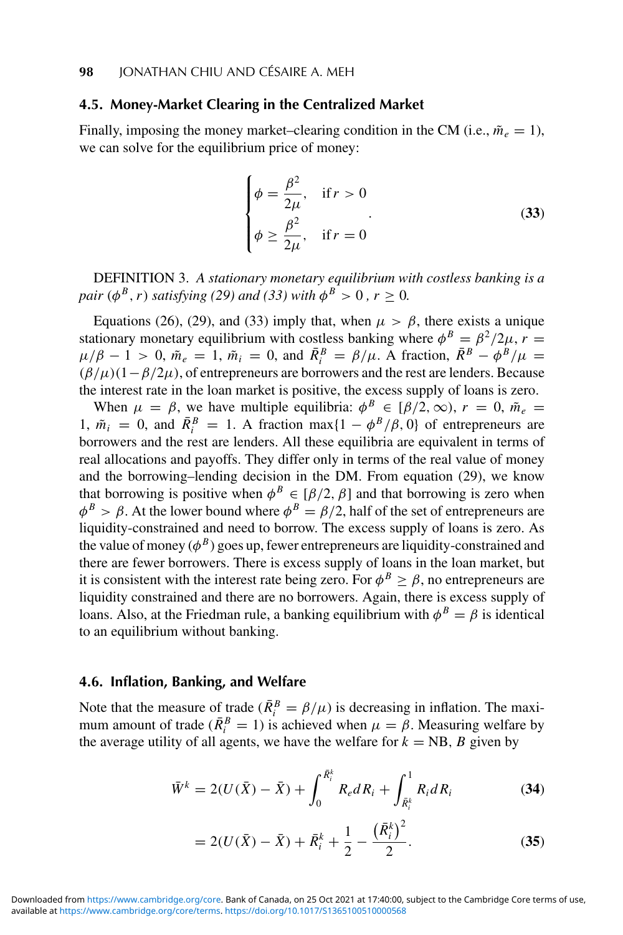#### **4.5. Money-Market Clearing in the Centralized Market**

Finally, imposing the money market–clearing condition in the CM (i.e.,  $\tilde{m}_e = 1$ ), we can solve for the equilibrium price of money:

$$
\begin{cases}\n\phi = \frac{\beta^2}{2\mu}, & \text{if } r > 0 \\
\phi \ge \frac{\beta^2}{2\mu}, & \text{if } r = 0\n\end{cases}
$$
\n(33)

DEFINITION 3. *A stationary monetary equilibrium with costless banking is a pair*  $(\phi^B, r)$  *satisfying (29) and (33) with*  $\phi^B > 0$ ,  $r > 0$ .

Equations (26), (29), and (33) imply that, when  $\mu > \beta$ , there exists a unique stationary monetary equilibrium with costless banking where  $\phi^B = \beta^2/2\mu$ ,  $r =$  $\mu/\beta - 1 > 0$ ,  $\tilde{m}_e = 1$ ,  $\tilde{m}_i = 0$ , and  $\bar{R}_i^B = \beta/\mu$ . A fraction,  $\bar{R}^B - \phi^B/\mu =$  $(\beta/\mu)(1-\beta/2\mu)$ , of entrepreneurs are borrowers and the rest are lenders. Because the interest rate in the loan market is positive, the excess supply of loans is zero.

When  $\mu = \beta$ , we have multiple equilibria:  $\phi^B \in [\beta/2, \infty)$ ,  $r = 0$ ,  $\tilde{m}_e =$ 1,  $\tilde{m}_i = 0$ , and  $\bar{R}_i^B = 1$ . A fraction max $\{1 - \phi^B/\beta, 0\}$  of entrepreneurs are borrowers and the rest are lenders. All these equilibria are equivalent in terms of real allocations and payoffs. They differ only in terms of the real value of money and the borrowing–lending decision in the DM. From equation (29), we know that borrowing is positive when  $\phi^B \in [\beta/2, \beta]$  and that borrowing is zero when  $\phi^B > \beta$ . At the lower bound where  $\phi^B = \beta/2$ , half of the set of entrepreneurs are liquidity-constrained and need to borrow. The excess supply of loans is zero. As the value of money  $(\phi^B)$  goes up, fewer entrepreneurs are liquidity-constrained and there are fewer borrowers. There is excess supply of loans in the loan market, but it is consistent with the interest rate being zero. For  $\phi^B \ge \beta$ , no entrepreneurs are liquidity constrained and there are no borrowers. Again, there is excess supply of loans. Also, at the Friedman rule, a banking equilibrium with  $\phi^B = \beta$  is identical to an equilibrium without banking.

# **4.6. Inflation, Banking, and Welfare**

Note that the measure of trade ( $\bar{R}_i^B = \beta/\mu$ ) is decreasing in inflation. The maximum amount of trade ( $\overline{R}_{i}^{B} = 1$ ) is achieved when  $\mu = \beta$ . Measuring welfare by the average utility of all agents, we have the welfare for  $k = NB$ , B given by

$$
\bar{W}^{k} = 2(U(\bar{X}) - \bar{X}) + \int_{0}^{\bar{R}_{i}^{k}} R_{e} dR_{i} + \int_{\bar{R}_{i}^{k}}^{1} R_{i} dR_{i}
$$
(34)

$$
= 2(U(\bar{X}) - \bar{X}) + \bar{R}_i^k + \frac{1}{2} - \frac{(\bar{R}_i^k)^2}{2}.
$$
 (35)

available at [https://www.cambridge.org/core/terms.](https://www.cambridge.org/core/terms)<https://doi.org/10.1017/S1365100510000568> Downloaded from<https://www.cambridge.org/core>. Bank of Canada, on 25 Oct 2021 at 17:40:00, subject to the Cambridge Core terms of use,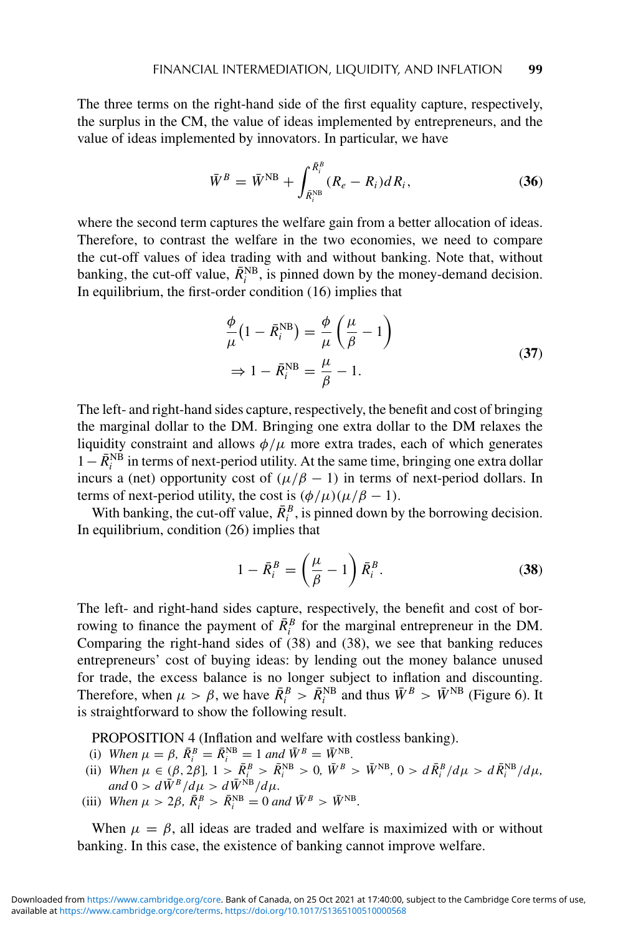The three terms on the right-hand side of the first equality capture, respectively, the surplus in the CM, the value of ideas implemented by entrepreneurs, and the value of ideas implemented by innovators. In particular, we have

$$
\bar{W}^{B} = \bar{W}^{NB} + \int_{\bar{R}_{i}^{NB}}^{\bar{R}_{i}^{B}} (R_{e} - R_{i}) dR_{i},
$$
\n(36)

where the second term captures the welfare gain from a better allocation of ideas. Therefore, to contrast the welfare in the two economies, we need to compare the cut-off values of idea trading with and without banking. Note that, without banking, the cut-off value,  $\bar{R}_i^{\text{NB}}$ , is pinned down by the money-demand decision. In equilibrium, the first-order condition (16) implies that

$$
\frac{\phi}{\mu} \left( 1 - \bar{R}_i^{\text{NB}} \right) = \frac{\phi}{\mu} \left( \frac{\mu}{\beta} - 1 \right)
$$
\n
$$
\Rightarrow 1 - \bar{R}_i^{\text{NB}} = \frac{\mu}{\beta} - 1.
$$
\n(37)

The left- and right-hand sides capture, respectively, the benefit and cost of bringing the marginal dollar to the DM. Bringing one extra dollar to the DM relaxes the liquidity constraint and allows  $\phi/\mu$  more extra trades, each of which generates  $1-\overline{R}_{i}^{\text{NB}}$  in terms of next-period utility. At the same time, bringing one extra dollar incurs a (net) opportunity cost of  $(\mu/\beta - 1)$  in terms of next-period dollars. In terms of next-period utility, the cost is  $(\phi/\mu)(\mu/\beta - 1)$ .

With banking, the cut-off value,  $\bar{R}_i^B$ , is pinned down by the borrowing decision. In equilibrium, condition (26) implies that

$$
1 - \bar{R}_i^B = \left(\frac{\mu}{\beta} - 1\right) \bar{R}_i^B.
$$
 (38)

The left- and right-hand sides capture, respectively, the benefit and cost of borrowing to finance the payment of  $\bar{R}^B_i$  for the marginal entrepreneur in the DM. Comparing the right-hand sides of (38) and (38), we see that banking reduces entrepreneurs' cost of buying ideas: by lending out the money balance unused for trade, the excess balance is no longer subject to inflation and discounting. Therefore, when  $\mu > \beta$ , we have  $\bar{R}_i^B > \bar{R}_i^{NB}$  and thus  $\bar{W}^B > \bar{W}^{NB}$  (Figure 6). It is straightforward to show the following result.

PROPOSITION 4 (Inflation and welfare with costless banking).

- (i) *When*  $\mu = \beta$ ,  $\bar{R}_i^B = \bar{R}_i^{NB} = 1$  *and*  $\bar{W}^B = \bar{W}^{NB}$ .
- (ii) When  $\mu \in (\beta, 2\beta], 1 > \bar{R}_i^B > \bar{R}_i^{NB} > 0$ ,  $\bar{W}^B > \bar{W}^{NB}$ ,  $0 > d\bar{R}_i^B/d\mu > d\bar{R}_i^{NB}/d\mu$ ,  $and$   $0 > d\bar{W}^B/d\mu > d\bar{W}^{NB}/d\mu$ *.*
- $(iii)$  *When*  $\mu > 2\beta$ ,  $\bar{R}_i^B > \bar{R}_i^{NB} = 0$  *and*  $\bar{W}^B > \bar{W}^{NB}$ .

When  $\mu = \beta$ , all ideas are traded and welfare is maximized with or without banking. In this case, the existence of banking cannot improve welfare.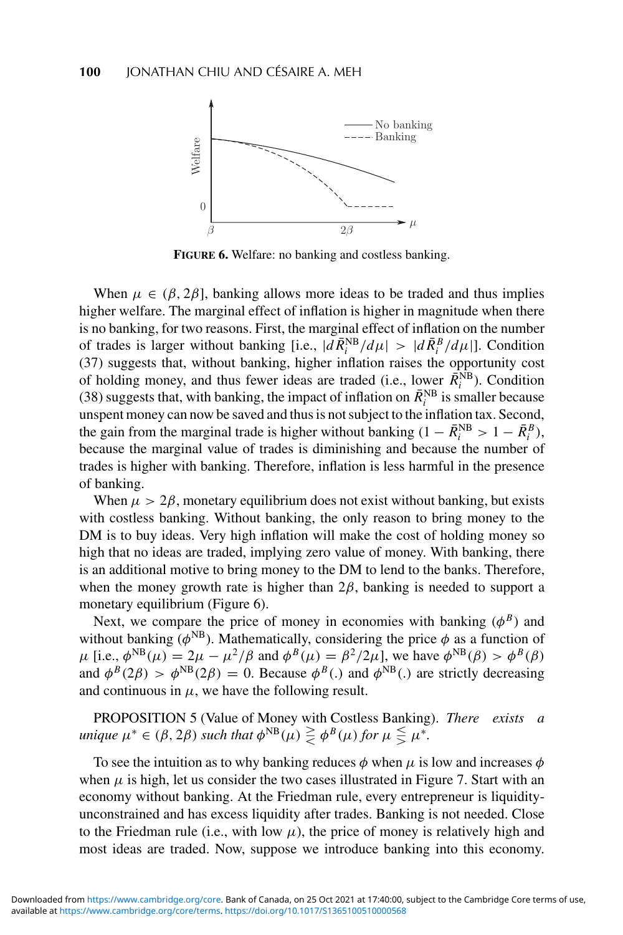

**FIGURE 6.** Welfare: no banking and costless banking.

When  $\mu \in (\beta, 2\beta]$ , banking allows more ideas to be traded and thus implies higher welfare. The marginal effect of inflation is higher in magnitude when there is no banking, for two reasons. First, the marginal effect of inflation on the number of trades is larger without banking [i.e.,  $|d\bar{R}^{NB}_i/d\mu| > |d\bar{R}^{B}_i/d\mu|$ ]. Condition (37) suggests that, without banking, higher inflation raises the opportunity cost of holding money, and thus fewer ideas are traded (i.e., lower  $\overline{R}^{\text{NB}}_i$ ). Condition (38) suggests that, with banking, the impact of inflation on  $\bar{R}_i^{\text{NB}}$  is smaller because unspent money can now be saved and thus is not subject to the inflation tax. Second, the gain from the marginal trade is higher without banking  $(1 - \bar{R}_i^{\text{NB}} > 1 - \bar{R}_i^{\text{B}})$ , because the marginal value of trades is diminishing and because the number of trades is higher with banking. Therefore, inflation is less harmful in the presence of banking.

When  $\mu > 2\beta$ , monetary equilibrium does not exist without banking, but exists with costless banking. Without banking, the only reason to bring money to the DM is to buy ideas. Very high inflation will make the cost of holding money so high that no ideas are traded, implying zero value of money. With banking, there is an additional motive to bring money to the DM to lend to the banks. Therefore, when the money growth rate is higher than 2*β*, banking is needed to support a monetary equilibrium (Figure 6).

Next, we compare the price of money in economies with banking  $(\phi^B)$  and without banking ( $\phi^{NB}$ ). Mathematically, considering the price  $\phi$  as a function of  $\mu$  [i.e.,  $\phi^{NB}(\mu) = 2\mu - \mu^2/\beta$  and  $\phi^B(\mu) = \beta^2/2\mu$ ], we have  $\phi^{NB}(\beta) > \phi^B(\beta)$ and  $\phi^B(2\beta) > \phi^{NB}(2\beta) = 0$ . Because  $\phi^B(.)$  and  $\phi^{NB}(.)$  are strictly decreasing and continuous in  $\mu$ , we have the following result.

PROPOSITION 5 (Value of Money with Costless Banking). *There exists a unique*  $\mu^* \in (\beta, 2\beta)$  *such that*  $\phi^{\text{NB}}(\mu) \geq \phi^B(\mu)$  for  $\mu \leq \mu^*$ .

To see the intuition as to why banking reduces  $\phi$  when  $\mu$  is low and increases  $\phi$ when  $\mu$  is high, let us consider the two cases illustrated in Figure 7. Start with an economy without banking. At the Friedman rule, every entrepreneur is liquidityunconstrained and has excess liquidity after trades. Banking is not needed. Close to the Friedman rule (i.e., with low  $\mu$ ), the price of money is relatively high and most ideas are traded. Now, suppose we introduce banking into this economy.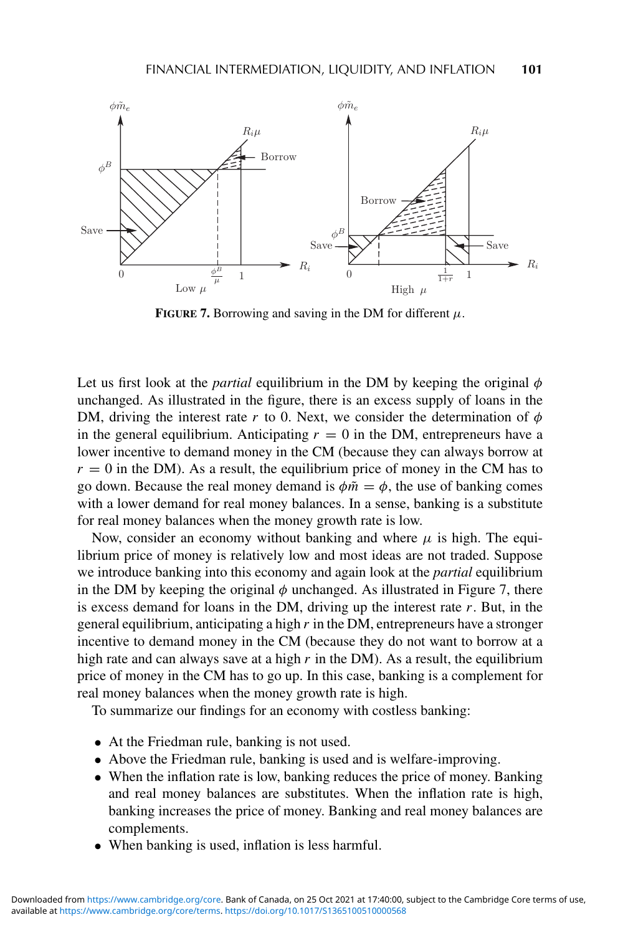

**FIGURE 7.** Borrowing and saving in the DM for different  $\mu$ .

Let us first look at the *partial* equilibrium in the DM by keeping the original *φ* unchanged. As illustrated in the figure, there is an excess supply of loans in the DM, driving the interest rate  $r$  to 0. Next, we consider the determination of  $\phi$ in the general equilibrium. Anticipating  $r = 0$  in the DM, entrepreneurs have a lower incentive to demand money in the CM (because they can always borrow at  $r = 0$  in the DM). As a result, the equilibrium price of money in the CM has to go down. Because the real money demand is  $\phi \tilde{m} = \phi$ , the use of banking comes with a lower demand for real money balances. In a sense, banking is a substitute for real money balances when the money growth rate is low.

Now, consider an economy without banking and where  $\mu$  is high. The equilibrium price of money is relatively low and most ideas are not traded. Suppose we introduce banking into this economy and again look at the *partial* equilibrium in the DM by keeping the original  $\phi$  unchanged. As illustrated in Figure 7, there is excess demand for loans in the DM, driving up the interest rate *r*. But, in the general equilibrium, anticipating a high *r* in the DM, entrepreneurs have a stronger incentive to demand money in the CM (because they do not want to borrow at a high rate and can always save at a high  $r$  in the DM). As a result, the equilibrium price of money in the CM has to go up. In this case, banking is a complement for real money balances when the money growth rate is high.

To summarize our findings for an economy with costless banking:

- At the Friedman rule, banking is not used.
- Above the Friedman rule, banking is used and is welfare-improving.
- When the inflation rate is low, banking reduces the price of money. Banking and real money balances are substitutes. When the inflation rate is high, banking increases the price of money. Banking and real money balances are complements.
- When banking is used, inflation is less harmful.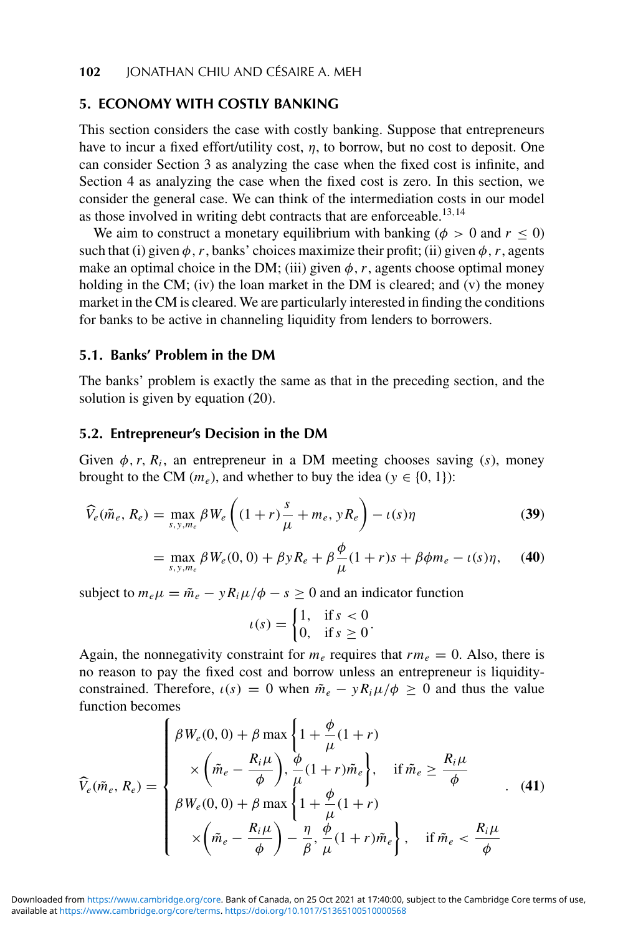#### **5. ECONOMY WITH COSTLY BANKING**

This section considers the case with costly banking. Suppose that entrepreneurs have to incur a fixed effort/utility cost, *η*, to borrow, but no cost to deposit. One can consider Section 3 as analyzing the case when the fixed cost is infinite, and Section 4 as analyzing the case when the fixed cost is zero. In this section, we consider the general case. We can think of the intermediation costs in our model as those involved in writing debt contracts that are enforceable.<sup>13</sup>*,*<sup>14</sup>

We aim to construct a monetary equilibrium with banking ( $\phi > 0$  and  $r < 0$ ) such that (i) given  $\phi$ , r, banks' choices maximize their profit; (ii) given  $\phi$ , r, agents make an optimal choice in the DM; (iii) given  $\phi$ , r, agents choose optimal money holding in the CM; (iv) the loan market in the DM is cleared; and (v) the money market in the CM is cleared. We are particularly interested in finding the conditions for banks to be active in channeling liquidity from lenders to borrowers.

#### **5.1. Banks' Problem in the DM**

The banks' problem is exactly the same as that in the preceding section, and the solution is given by equation (20).

#### **5.2. Entrepreneur's Decision in the DM**

Given  $\phi$ , r,  $R_i$ , an entrepreneur in a DM meeting chooses saving (s), money brought to the CM  $(m_e)$ , and whether to buy the idea ( $y \in \{0, 1\}$ ):

$$
\widehat{V}_e(\tilde{m}_e, R_e) = \max_{s, y, m_e} \beta W_e \left( (1+r)\frac{s}{\mu} + m_e, yR_e \right) - \iota(s)\eta
$$
\n(39)

$$
= \max_{s,y,m_e} \beta W_e(0,0) + \beta y R_e + \beta \frac{\phi}{\mu} (1+r)s + \beta \phi m_e - \iota(s)\eta, \quad (40)
$$

subject to  $m_e \mu = \tilde{m}_e - yR_i \mu/\phi - s \ge 0$  and an indicator function

$$
u(s) = \begin{cases} 1, & \text{if } s < 0 \\ 0, & \text{if } s \ge 0 \end{cases}.
$$

Again, the nonnegativity constraint for  $m_e$  requires that  $rm_e = 0$ . Also, there is no reason to pay the fixed cost and borrow unless an entrepreneur is liquidityconstrained. Therefore,  $\iota(s) = 0$  when  $\tilde{m}_e - yR_i\mu/\phi \ge 0$  and thus the value function becomes

$$
\widehat{V}_{e}(\tilde{m}_{e}, R_{e}) = \begin{cases}\n\beta W_{e}(0, 0) + \beta \max\left\{1 + \frac{\phi}{\mu}(1+r)\right. \\
\left.\times \left(\tilde{m}_{e} - \frac{R_{i}\mu}{\phi}\right), \frac{\phi}{\mu}(1+r)\tilde{m}_{e}\right\}, & \text{if } \tilde{m}_{e} \ge \frac{R_{i}\mu}{\phi} \\
\beta W_{e}(0, 0) + \beta \max\left\{1 + \frac{\phi}{\mu}(1+r)\right. \\
\left.\times \left(\tilde{m}_{e} - \frac{R_{i}\mu}{\phi}\right) - \frac{\eta}{\beta}, \frac{\phi}{\mu}(1+r)\tilde{m}_{e}\right\}, & \text{if } \tilde{m}_{e} < \frac{R_{i}\mu}{\phi}\n\end{cases}
$$
\n(41)

available at [https://www.cambridge.org/core/terms.](https://www.cambridge.org/core/terms)<https://doi.org/10.1017/S1365100510000568> Downloaded from<https://www.cambridge.org/core>. Bank of Canada, on 25 Oct 2021 at 17:40:00, subject to the Cambridge Core terms of use,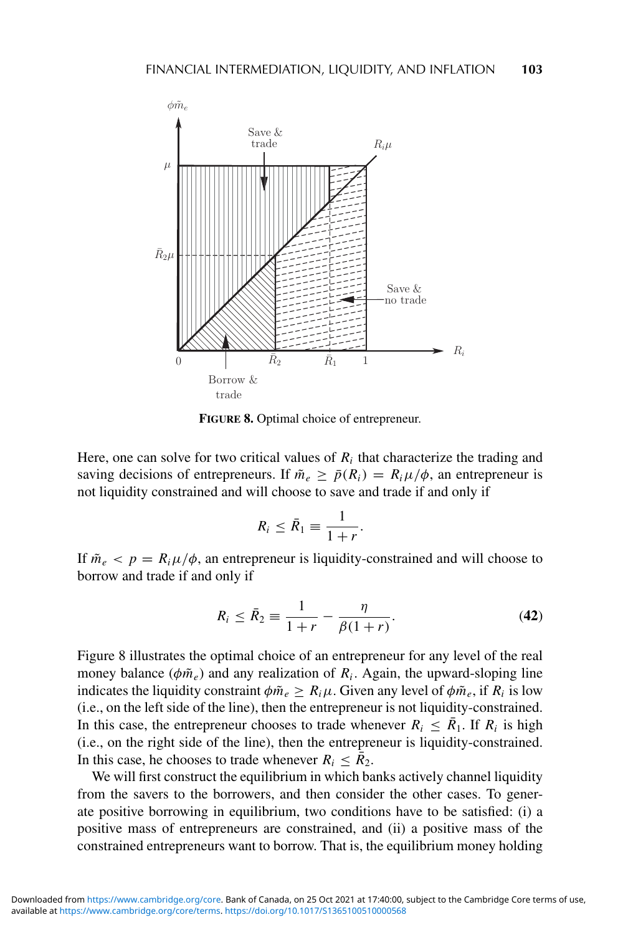

**FIGURE 8.** Optimal choice of entrepreneur.

Here, one can solve for two critical values of  $R_i$  that characterize the trading and saving decisions of entrepreneurs. If  $\tilde{m}_e > \bar{p}(R_i) = R_i \mu/\phi$ , an entrepreneur is not liquidity constrained and will choose to save and trade if and only if

$$
R_i \leq \bar{R}_1 \equiv \frac{1}{1+r}.
$$

If  $\tilde{m}_e < p = R_i \mu / \phi$ , an entrepreneur is liquidity-constrained and will choose to borrow and trade if and only if

$$
R_i \le \bar{R}_2 \equiv \frac{1}{1+r} - \frac{\eta}{\beta(1+r)}.\tag{42}
$$

Figure 8 illustrates the optimal choice of an entrepreneur for any level of the real money balance ( $\phi \tilde{m}_e$ ) and any realization of  $R_i$ . Again, the upward-sloping line indicates the liquidity constraint  $\phi \tilde{m}_e \geq R_i \mu$ . Given any level of  $\phi \tilde{m}_e$ , if  $R_i$  is low (i.e., on the left side of the line), then the entrepreneur is not liquidity-constrained. In this case, the entrepreneur chooses to trade whenever  $R_i \leq \bar{R}_1$ . If  $R_i$  is high (i.e., on the right side of the line), then the entrepreneur is liquidity-constrained. In this case, he chooses to trade whenever  $R_i \leq \bar{R}_2$ .

We will first construct the equilibrium in which banks actively channel liquidity from the savers to the borrowers, and then consider the other cases. To generate positive borrowing in equilibrium, two conditions have to be satisfied: (i) a positive mass of entrepreneurs are constrained, and (ii) a positive mass of the constrained entrepreneurs want to borrow. That is, the equilibrium money holding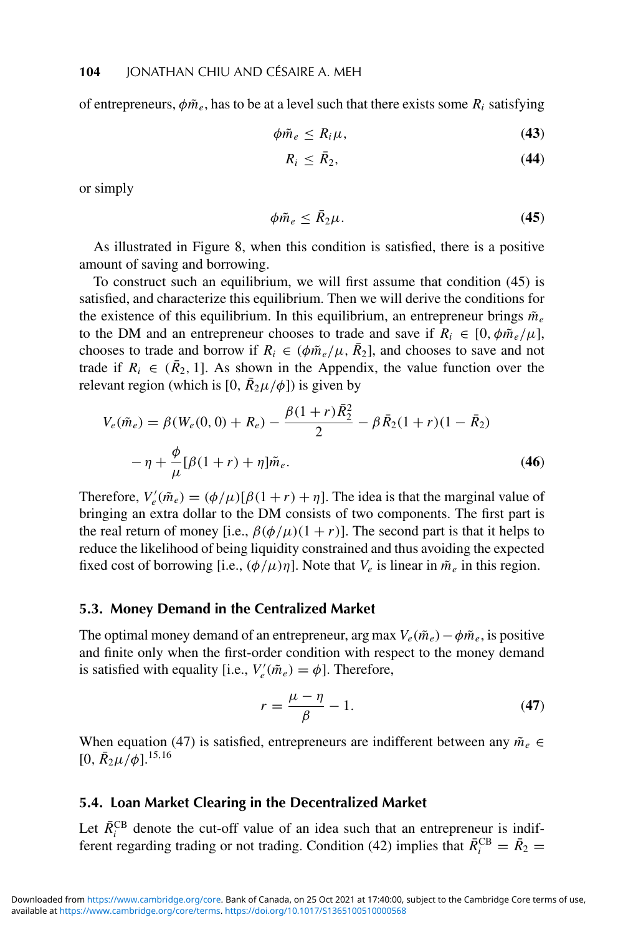of entrepreneurs,  $\phi \tilde{m}_e$ , has to be at a level such that there exists some  $R_i$  satisfying

$$
\phi \tilde{m}_e \le R_i \mu, \tag{43}
$$

$$
R_i \leq \bar{R}_2,\tag{44}
$$

or simply

$$
\phi \tilde{m}_e \le \bar{R}_2 \mu. \tag{45}
$$

As illustrated in Figure 8, when this condition is satisfied, there is a positive amount of saving and borrowing.

To construct such an equilibrium, we will first assume that condition (45) is satisfied, and characterize this equilibrium. Then we will derive the conditions for the existence of this equilibrium. In this equilibrium, an entrepreneur brings  $\tilde{m}_e$ to the DM and an entrepreneur chooses to trade and save if  $R_i \in [0, \phi \tilde{m}_e/\mu]$ , chooses to trade and borrow if  $R_i \in (\phi \tilde{m}_e/\mu, \bar{R}_2]$ , and chooses to save and not trade if  $R_i \in (\bar{R}_2, 1]$ . As shown in the Appendix, the value function over the relevant region (which is [0,  $\bar{R}_2\mu/\phi$ ]) is given by

$$
V_e(\tilde{m}_e) = \beta(W_e(0,0) + R_e) - \frac{\beta(1+r)\bar{R}_2^2}{2} - \beta \bar{R}_2(1+r)(1-\bar{R}_2) - \eta + \frac{\phi}{\mu}[\beta(1+r) + \eta]\tilde{m}_e.
$$
\n(46)

Therefore,  $V_e'(\tilde{m}_e) = (\phi/\mu)[\beta(1+r) + \eta]$ . The idea is that the marginal value of bringing an extra dollar to the DM consists of two components. The first part is the real return of money [i.e.,  $\beta(\phi/\mu)(1+r)$ ]. The second part is that it helps to reduce the likelihood of being liquidity constrained and thus avoiding the expected fixed cost of borrowing [i.e.,  $(\phi/\mu)\eta$ ]. Note that  $V_e$  is linear in  $\tilde{m}_e$  in this region.

#### **5.3. Money Demand in the Centralized Market**

The optimal money demand of an entrepreneur, arg max  $V_e(\tilde{m}_e) - \phi \tilde{m}_e$ , is positive and finite only when the first-order condition with respect to the money demand is satisfied with equality [i.e.,  $V'_e(\tilde{m}_e) = \phi$ ]. Therefore,

$$
r = \frac{\mu - \eta}{\beta} - 1.
$$
 (47)

When equation (47) is satisfied, entrepreneurs are indifferent between any  $\tilde{m}_e \in$  $[0, \bar{R}_2\mu/\phi]$ <sup>15,16</sup>

#### **5.4. Loan Market Clearing in the Decentralized Market**

Let  $\bar{R}_i^{\text{CB}}$  denote the cut-off value of an idea such that an entrepreneur is indifferent regarding trading or not trading. Condition (42) implies that  $\bar{R}_{i}^{CB} = \bar{R}_{2}$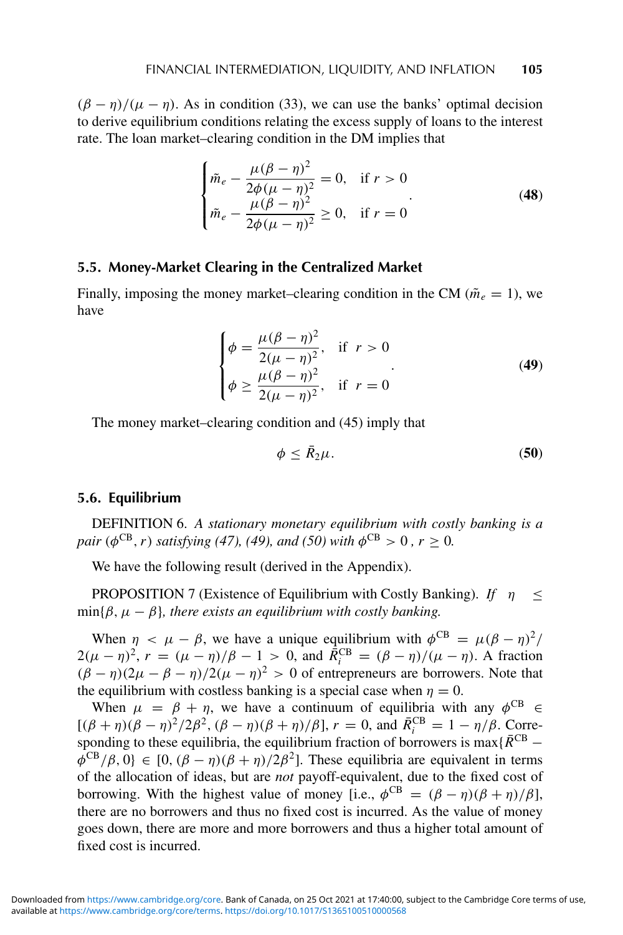$(\beta - \eta)/(\mu - \eta)$ . As in condition (33), we can use the banks' optimal decision to derive equilibrium conditions relating the excess supply of loans to the interest rate. The loan market–clearing condition in the DM implies that

$$
\begin{cases}\n\tilde{m}_e - \frac{\mu(\beta - \eta)^2}{2\phi(\mu - \eta)^2} = 0, & \text{if } r > 0 \\
\tilde{m}_e - \frac{\mu(\beta - \eta)^2}{2\phi(\mu - \eta)^2} \ge 0, & \text{if } r = 0\n\end{cases}
$$
\n(48)

#### **5.5. Money-Market Clearing in the Centralized Market**

Finally, imposing the money market–clearing condition in the CM ( $\tilde{m}_e = 1$ ), we have

$$
\begin{cases}\n\phi = \frac{\mu(\beta - \eta)^2}{2(\mu - \eta)^2}, & \text{if } r > 0 \\
\phi \ge \frac{\mu(\beta - \eta)^2}{2(\mu - \eta)^2}, & \text{if } r = 0\n\end{cases}
$$
\n(49)

The money market–clearing condition and (45) imply that

$$
\phi \leq \bar{R}_2 \mu. \tag{50}
$$

#### **5.6. Equilibrium**

DEFINITION 6. *A stationary monetary equilibrium with costly banking is a pair* ( $\phi^{\text{CB}}$ *,r*) *satisfying* (47), (49), *and* (50) with  $\phi^{\text{CB}} > 0$ ,  $r \ge 0$ .

We have the following result (derived in the Appendix).

PROPOSITION 7 (Existence of Equilibrium with Costly Banking). *If η* ≤  $min{β, μ - β}$ *, there exists an equilibrium with costly banking.* 

When  $\eta < \mu - \beta$ , we have a unique equilibrium with  $\phi^{CB} = \mu(\beta - \eta)^2$ /  $2(\mu - \eta)^2$ ,  $r = (\mu - \eta)/\beta - 1 > 0$ , and  $\bar{R}_i^{\text{CB}} = (\beta - \eta)/(\mu - \eta)$ . A fraction  $(\beta - \eta)(2\mu - \beta - \eta)/2(\mu - \eta)^2 > 0$  of entrepreneurs are borrowers. Note that the equilibrium with costless banking is a special case when  $\eta = 0$ .

When  $\mu = \beta + \eta$ , we have a continuum of equilibria with any  $\phi^{\text{CB}}$  ∈  $[(\beta + \eta)(\beta - \eta)^2/2\beta^2, (\beta - \eta)(\beta + \eta)/\beta], r = 0$ , and  $\bar{R}_i^{\text{CB}} = 1 - \eta/\beta$ . Corresponding to these equilibria, the equilibrium fraction of borrowers is max $\{\bar{R}^{CB}$  −  $\phi^{\text{CB}}/\beta$ ,  $0 \} \in [0, (\beta - \eta)(\beta + \eta)/2\beta^2]$ . These equilibria are equivalent in terms of the allocation of ideas, but are *not* payoff-equivalent, due to the fixed cost of borrowing. With the highest value of money [i.e.,  $\phi^{CB} = (\beta - \eta)(\beta + \eta)/\beta$ ], there are no borrowers and thus no fixed cost is incurred. As the value of money goes down, there are more and more borrowers and thus a higher total amount of fixed cost is incurred.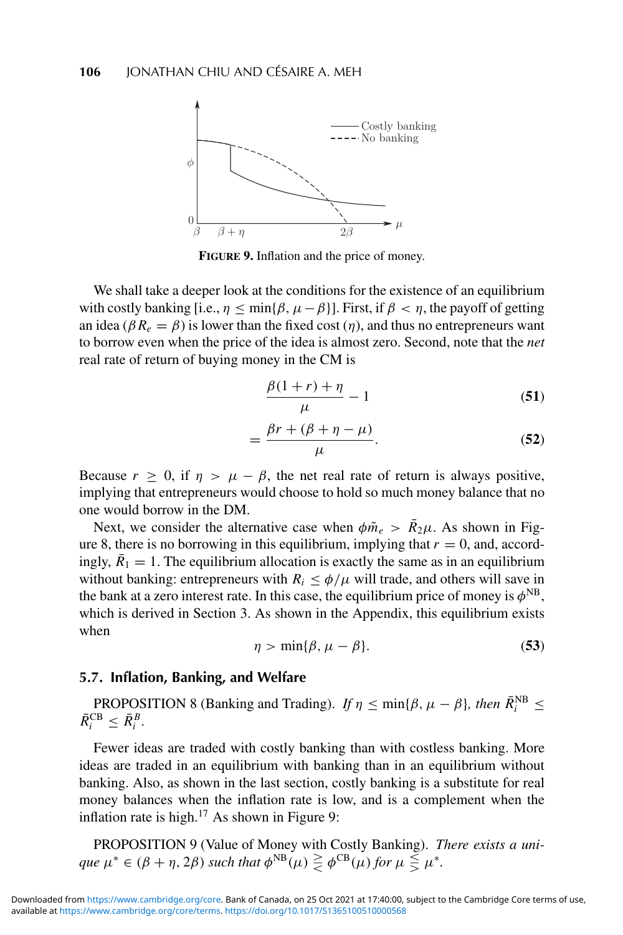

**FIGURE 9.** Inflation and the price of money.

We shall take a deeper look at the conditions for the existence of an equilibrium with costly banking [i.e.,  $\eta \le \min{\{\beta, \mu - \beta\}}$ ]. First, if  $\beta < \eta$ , the payoff of getting an idea ( $\beta R_e = \beta$ ) is lower than the fixed cost ( $\eta$ ), and thus no entrepreneurs want to borrow even when the price of the idea is almost zero. Second, note that the *net* real rate of return of buying money in the CM is

$$
\frac{\beta(1+r)+\eta}{\mu} - 1\tag{51}
$$

$$
=\frac{\beta r + (\beta + \eta - \mu)}{\mu}.
$$
 (52)

Because  $r \ge 0$ , if  $\eta > \mu - \beta$ , the net real rate of return is always positive, implying that entrepreneurs would choose to hold so much money balance that no one would borrow in the DM.

Next, we consider the alternative case when  $\phi \tilde{m}_e > \bar{R}_2 \mu$ . As shown in Figure 8, there is no borrowing in this equilibrium, implying that  $r = 0$ , and, accordingly,  $\bar{R}_1 = 1$ . The equilibrium allocation is exactly the same as in an equilibrium without banking: entrepreneurs with  $R_i \leq \phi/\mu$  will trade, and others will save in the bank at a zero interest rate. In this case, the equilibrium price of money is  $\phi^{NB}$ , which is derived in Section 3. As shown in the Appendix, this equilibrium exists when

$$
\eta > \min{\{\beta, \mu - \beta\}}.
$$
 (53)

#### **5.7. Inflation, Banking, and Welfare**

**PROPOSITION 8** (Banking and Trading). *If*  $\eta \le \min\{\beta, \mu - \beta\}$ , then  $\bar{R}_i^{\text{NB}} \le$  $\bar{R}_i^{\text{CB}} \leq \bar{R}_i^B$ .

Fewer ideas are traded with costly banking than with costless banking. More ideas are traded in an equilibrium with banking than in an equilibrium without banking. Also, as shown in the last section, costly banking is a substitute for real money balances when the inflation rate is low, and is a complement when the inflation rate is high.<sup>17</sup> As shown in Figure 9:

PROPOSITION 9 (Value of Money with Costly Banking). *There exists a unique*  $\mu^* \in (\beta + \eta, 2\beta)$  *such that*  $\phi^{\text{NB}}(\mu) \geq \phi^{\text{CB}}(\mu)$  *for*  $\mu \leq \mu^*$ .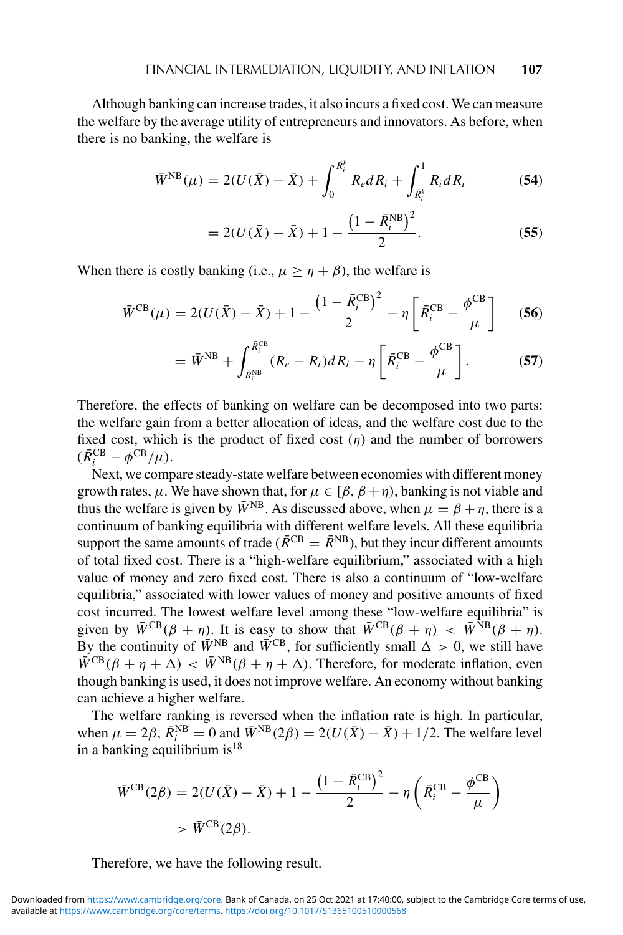Although banking can increase trades, it also incurs a fixed cost. We can measure the welfare by the average utility of entrepreneurs and innovators. As before, when there is no banking, the welfare is

$$
\bar{W}^{NB}(\mu) = 2(U(\bar{X}) - \bar{X}) + \int_0^{\bar{R}_i^k} R_{\epsilon} dR_i + \int_{\bar{R}_i^k}^1 R_i dR_i \tag{54}
$$

$$
= 2(U(\bar{X}) - \bar{X}) + 1 - \frac{\left(1 - \bar{R}_i^{\text{NB}}\right)^2}{2}.
$$
 (55)

When there is costly banking (i.e.,  $\mu \geq \eta + \beta$ ), the welfare is

$$
\bar{W}^{\text{CB}}(\mu) = 2(U(\bar{X}) - \bar{X}) + 1 - \frac{\left(1 - \bar{R}_i^{\text{CB}}\right)^2}{2} - \eta \left[\bar{R}_i^{\text{CB}} - \frac{\phi^{\text{CB}}}{\mu}\right]
$$
 (56)

$$
= \bar{W}^{\text{NB}} + \int_{\bar{R}_i^{\text{NB}}}^{\bar{R}_i^{\text{CB}}} (R_e - R_i) dR_i - \eta \left[ \bar{R}_i^{\text{CB}} - \frac{\phi^{\text{CB}}}{\mu} \right]. \tag{57}
$$

Therefore, the effects of banking on welfare can be decomposed into two parts: the welfare gain from a better allocation of ideas, and the welfare cost due to the fixed cost, which is the product of fixed cost (*η*) and the number of borrowers  $(\bar{R}_i^{\text{CB}} - \phi^{\text{CB}}/\mu).$ 

Next, we compare steady-state welfare between economies with different money growth rates,  $\mu$ . We have shown that, for  $\mu \in [\beta, \beta + \eta)$ , banking is not viable and thus the welfare is given by  $\bar{W}^{NB}$ . As discussed above, when  $\mu = \beta + \eta$ , there is a continuum of banking equilibria with different welfare levels. All these equilibria support the same amounts of trade ( $\bar{R}^{\text{CB}} = \bar{R}^{\text{NB}}$ ), but they incur different amounts of total fixed cost. There is a "high-welfare equilibrium," associated with a high value of money and zero fixed cost. There is also a continuum of "low-welfare equilibria," associated with lower values of money and positive amounts of fixed cost incurred. The lowest welfare level among these "low-welfare equilibria" is given by  $\bar{W}^{CB}(\beta + \eta)$ . It is easy to show that  $\bar{W}^{CB}(\beta + \eta) < \bar{W}^{NB}(\beta + \eta)$ . By the continuity of  $\overline{W}^{NB}$  and  $\overline{W}^{CB}$ , for sufficiently small  $\Delta > 0$ , we still have  $\overline{W}^{CB}(\beta + \eta + \Delta) < \overline{W}^{NB}(\beta + \eta + \Delta)$ . Therefore, for moderate inflation, even though banking is used, it does not improve welfare. An economy without banking can achieve a higher welfare.

The welfare ranking is reversed when the inflation rate is high. In particular, when  $\mu = 2\beta$ ,  $\bar{R}_i^{NB} = 0$  and  $\bar{W}^{NB}(2\beta) = 2(U(\bar{X}) - \bar{X}) + 1/2$ . The welfare level in a banking equilibrium is<sup>18</sup>

$$
\bar{W}^{CB}(2\beta) = 2(U(\bar{X}) - \bar{X}) + 1 - \frac{\left(1 - \bar{R}_i^{CB}\right)^2}{2} - \eta \left(\bar{R}_i^{CB} - \frac{\phi^{CB}}{\mu}\right) > \bar{W}^{CB}(2\beta).
$$

Therefore, we have the following result.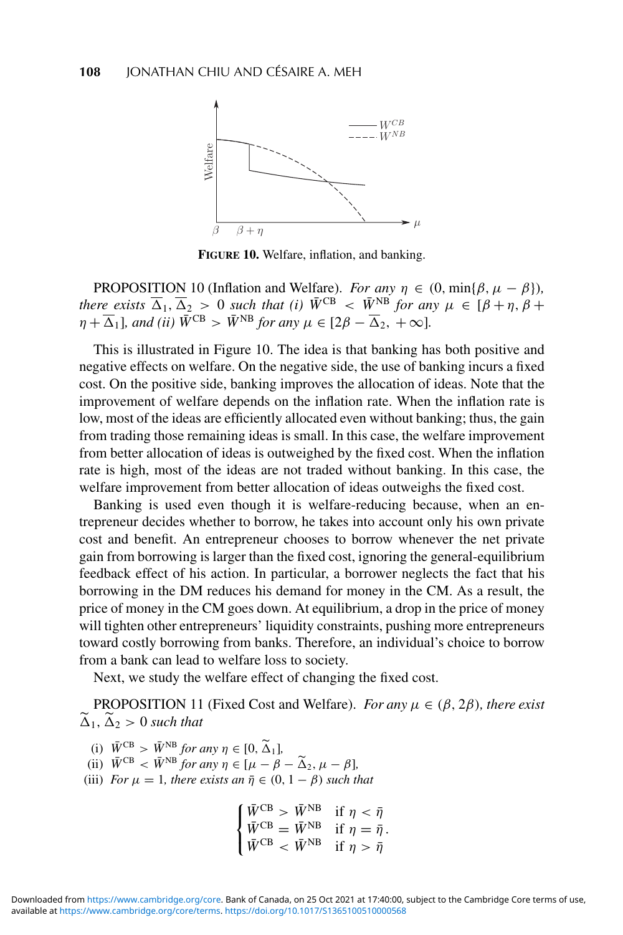

**FIGURE 10.** Welfare, inflation, and banking.

PROPOSITION 10 (Inflation and Welfare). *For any*  $\eta \in (0, \min\{\beta, \mu - \beta\})$ , *there exists*  $\overline{\Delta}_1$ ,  $\overline{\Delta}_2$  > 0 *such that (i)*  $\overline{W}^{CB}$  <  $\overline{W}^{NB}$  *for any*  $\mu \in [\beta + \eta, \beta + \eta]$  $\overline{p}$  +  $\overline{\Delta}_1$ *), and (ii)*  $\overline{W}^{CB}$  >  $\overline{W}^{NB}$  *for any*  $\mu \in [2\beta - \overline{\Delta}_2, +\infty]$ .

This is illustrated in Figure 10. The idea is that banking has both positive and negative effects on welfare. On the negative side, the use of banking incurs a fixed cost. On the positive side, banking improves the allocation of ideas. Note that the improvement of welfare depends on the inflation rate. When the inflation rate is low, most of the ideas are efficiently allocated even without banking; thus, the gain from trading those remaining ideas is small. In this case, the welfare improvement from better allocation of ideas is outweighed by the fixed cost. When the inflation rate is high, most of the ideas are not traded without banking. In this case, the welfare improvement from better allocation of ideas outweighs the fixed cost.

Banking is used even though it is welfare-reducing because, when an entrepreneur decides whether to borrow, he takes into account only his own private cost and benefit. An entrepreneur chooses to borrow whenever the net private gain from borrowing is larger than the fixed cost, ignoring the general-equilibrium feedback effect of his action. In particular, a borrower neglects the fact that his borrowing in the DM reduces his demand for money in the CM. As a result, the price of money in the CM goes down. At equilibrium, a drop in the price of money will tighten other entrepreneurs' liquidity constraints, pushing more entrepreneurs toward costly borrowing from banks. Therefore, an individual's choice to borrow from a bank can lead to welfare loss to society.

Next, we study the welfare effect of changing the fixed cost.

PROPOSITION 11 (Fixed Cost and Welfare). *For any*  $\mu \in (\beta, 2\beta)$ , *there exist*  $\widetilde{\Delta}_1$ ,  $\widetilde{\Delta}_2 > 0$  *such that* 

(i)  $\bar{W}^{\text{CB}} > \bar{W}^{\text{NB}}$  *for any*  $\eta \in [0, \tilde{\Delta}_1]$ *,* 

- (ii)  $\overline{W}^{CB} < \overline{W}^{NB}$  *for any*  $\eta \in [\mu \beta \tilde{\Delta}_2, \mu \beta]$ *,*
- (iii) *For*  $\mu = 1$ *, there exists an*  $\bar{\eta} \in (0, 1 \beta)$  *such that*

$$
\begin{cases} \bar{W}^{\text{CB}} > \bar{W}^{\text{NB}} & \text{if } \eta < \bar{\eta} \\ \bar{W}^{\text{CB}} = \bar{W}^{\text{NB}} & \text{if } \eta = \bar{\eta} \\ \bar{W}^{\text{CB}} < \bar{W}^{\text{NB}} & \text{if } \eta > \bar{\eta} \end{cases}
$$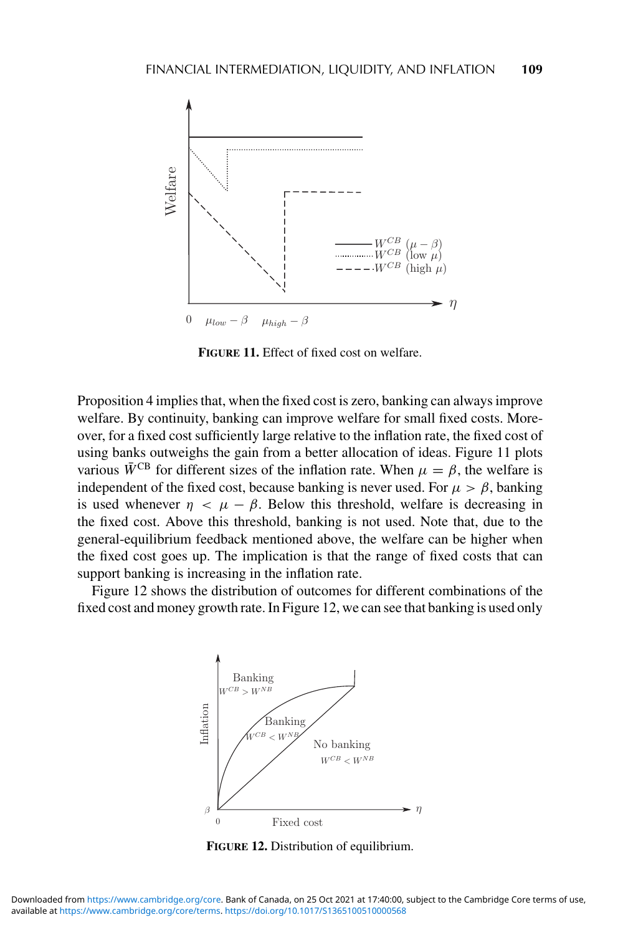

**FIGURE 11.** Effect of fixed cost on welfare.

Proposition 4 implies that, when the fixed cost is zero, banking can always improve welfare. By continuity, banking can improve welfare for small fixed costs. Moreover, for a fixed cost sufficiently large relative to the inflation rate, the fixed cost of using banks outweighs the gain from a better allocation of ideas. Figure 11 plots various  $\bar{W}^{CB}$  for different sizes of the inflation rate. When  $\mu = \beta$ , the welfare is independent of the fixed cost, because banking is never used. For  $\mu > \beta$ , banking is used whenever  $\eta < \mu - \beta$ . Below this threshold, welfare is decreasing in the fixed cost. Above this threshold, banking is not used. Note that, due to the general-equilibrium feedback mentioned above, the welfare can be higher when the fixed cost goes up. The implication is that the range of fixed costs that can support banking is increasing in the inflation rate.

Figure 12 shows the distribution of outcomes for different combinations of the fixed cost and money growth rate. In Figure 12, we can see that banking is used only



**FIGURE 12.** Distribution of equilibrium.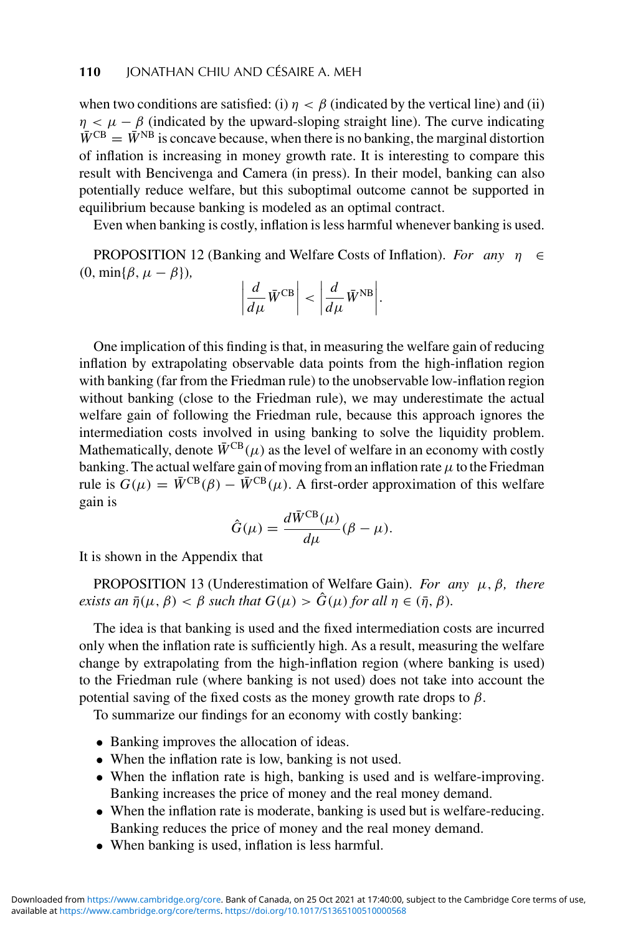when two conditions are satisfied: (i)  $\eta < \beta$  (indicated by the vertical line) and (ii)  $\eta < \mu - \beta$  (indicated by the upward-sloping straight line). The curve indicating  $\overline{W}^{\text{CB}} = \overline{W}^{\text{NB}}$  is concave because, when there is no banking, the marginal distortion of inflation is increasing in money growth rate. It is interesting to compare this result with Bencivenga and Camera (in press). In their model, banking can also potentially reduce welfare, but this suboptimal outcome cannot be supported in equilibrium because banking is modeled as an optimal contract.

Even when banking is costly, inflation is less harmful whenever banking is used.

PROPOSITION 12 (Banking and Welfare Costs of Inflation). *For any η* ∈ *(*0*,* min{*β,µ* <sup>−</sup> *<sup>β</sup>*}*),*

$$
\left|\frac{d}{d\mu}\bar{W}^{\text{CB}}\right| < \left|\frac{d}{d\mu}\bar{W}^{\text{NB}}\right|.
$$

One implication of this finding is that, in measuring the welfare gain of reducing inflation by extrapolating observable data points from the high-inflation region with banking (far from the Friedman rule) to the unobservable low-inflation region without banking (close to the Friedman rule), we may underestimate the actual welfare gain of following the Friedman rule, because this approach ignores the intermediation costs involved in using banking to solve the liquidity problem. Mathematically, denote  $\overline{W}^{CB}(\mu)$  as the level of welfare in an economy with costly banking. The actual welfare gain of moving from an inflation rate  $\mu$  to the Friedman rule is  $G(\mu) = \overline{W}^{CB}(\beta) - \overline{W}^{CB}(\mu)$ . A first-order approximation of this welfare gain is

$$
\hat{G}(\mu) = \frac{d\bar{W}^{\text{CB}}(\mu)}{d\mu}(\beta - \mu).
$$

It is shown in the Appendix that

PROPOSITION 13 (Underestimation of Welfare Gain). *For any µ,β, there exists an*  $\bar{\eta}(\mu, \beta) < \beta$  *such that*  $G(\mu) > \hat{G}(\mu)$  *for all*  $\eta \in (\bar{\eta}, \beta)$ *.* 

The idea is that banking is used and the fixed intermediation costs are incurred only when the inflation rate is sufficiently high. As a result, measuring the welfare change by extrapolating from the high-inflation region (where banking is used) to the Friedman rule (where banking is not used) does not take into account the potential saving of the fixed costs as the money growth rate drops to *β*.

To summarize our findings for an economy with costly banking:

- Banking improves the allocation of ideas.
- When the inflation rate is low, banking is not used.
- When the inflation rate is high, banking is used and is welfare-improving. Banking increases the price of money and the real money demand.
- When the inflation rate is moderate, banking is used but is welfare-reducing. Banking reduces the price of money and the real money demand.
- When banking is used, inflation is less harmful.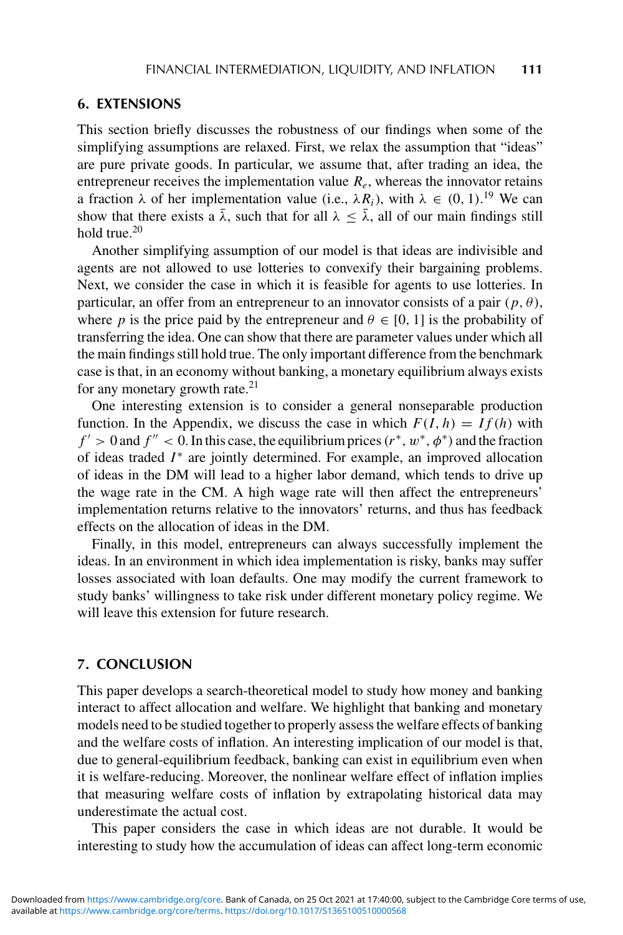#### **6. EXTENSIONS**

This section briefly discusses the robustness of our findings when some of the simplifying assumptions are relaxed. First, we relax the assumption that "ideas" are pure private goods. In particular, we assume that, after trading an idea, the entrepreneur receives the implementation value  $R_e$ , whereas the innovator retains a fraction  $\lambda$  of her implementation value (i.e.,  $\lambda R_i$ ), with  $\lambda \in (0, 1)$ .<sup>19</sup> We can show that there exists a  $\bar{\lambda}$ , such that for all  $\lambda < \bar{\lambda}$ , all of our main findings still hold true. $20$ 

Another simplifying assumption of our model is that ideas are indivisible and agents are not allowed to use lotteries to convexify their bargaining problems. Next, we consider the case in which it is feasible for agents to use lotteries. In particular, an offer from an entrepreneur to an innovator consists of a pair *(p,θ)*, where *p* is the price paid by the entrepreneur and  $\theta \in [0, 1]$  is the probability of transferring the idea. One can show that there are parameter values under which all the main findings still hold true. The only important difference from the benchmark case is that, in an economy without banking, a monetary equilibrium always exists for any monetary growth rate. $21$ 

One interesting extension is to consider a general nonseparable production function. In the Appendix, we discuss the case in which  $F(I, h) = I f(h)$  with  $f' > 0$  and  $f'' < 0$ . In this case, the equilibrium prices  $(r^*, w^*, \phi^*)$  and the fraction of ideas traded *I* <sup>∗</sup> are jointly determined. For example, an improved allocation of ideas in the DM will lead to a higher labor demand, which tends to drive up the wage rate in the CM. A high wage rate will then affect the entrepreneurs' implementation returns relative to the innovators' returns, and thus has feedback effects on the allocation of ideas in the DM.

Finally, in this model, entrepreneurs can always successfully implement the ideas. In an environment in which idea implementation is risky, banks may suffer losses associated with loan defaults. One may modify the current framework to study banks' willingness to take risk under different monetary policy regime. We will leave this extension for future research.

#### **7. CONCLUSION**

This paper develops a search-theoretical model to study how money and banking interact to affect allocation and welfare. We highlight that banking and monetary models need to be studied together to properly assess the welfare effects of banking and the welfare costs of inflation. An interesting implication of our model is that, due to general-equilibrium feedback, banking can exist in equilibrium even when it is welfare-reducing. Moreover, the nonlinear welfare effect of inflation implies that measuring welfare costs of inflation by extrapolating historical data may underestimate the actual cost.

This paper considers the case in which ideas are not durable. It would be interesting to study how the accumulation of ideas can affect long-term economic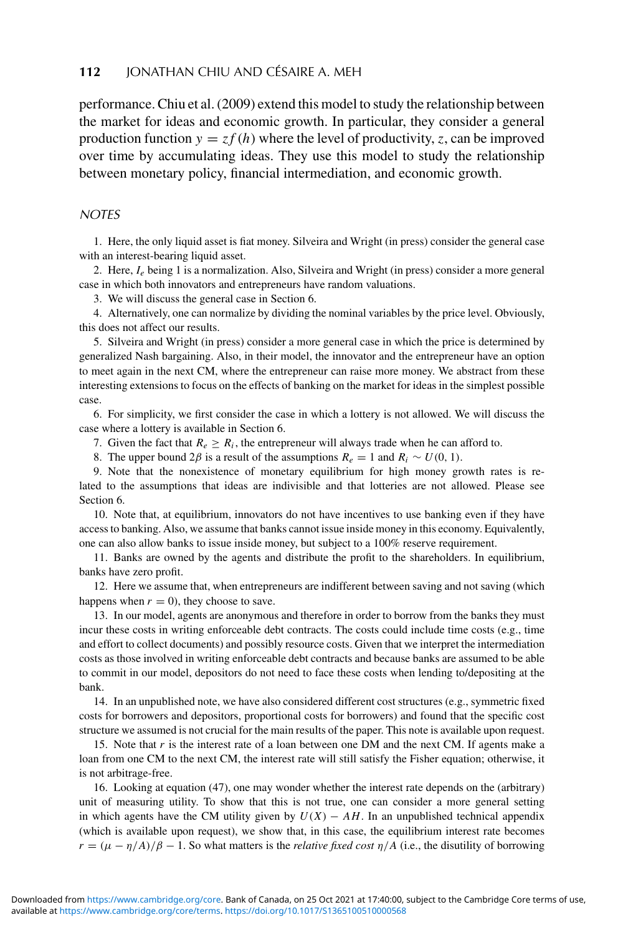performance. Chiu et al. (2009) extend this model to study the relationship between the market for ideas and economic growth. In particular, they consider a general production function  $y = z f(h)$  where the level of productivity, *z*, can be improved over time by accumulating ideas. They use this model to study the relationship between monetary policy, financial intermediation, and economic growth.

#### **NOTES**

1. Here, the only liquid asset is fiat money. Silveira and Wright (in press) consider the general case with an interest-bearing liquid asset.

2. Here, *Ie* being 1 is a normalization. Also, Silveira and Wright (in press) consider a more general case in which both innovators and entrepreneurs have random valuations.

3. We will discuss the general case in Section 6.

4. Alternatively, one can normalize by dividing the nominal variables by the price level. Obviously, this does not affect our results.

5. Silveira and Wright (in press) consider a more general case in which the price is determined by generalized Nash bargaining. Also, in their model, the innovator and the entrepreneur have an option to meet again in the next CM, where the entrepreneur can raise more money. We abstract from these interesting extensions to focus on the effects of banking on the market for ideas in the simplest possible case.

6. For simplicity, we first consider the case in which a lottery is not allowed. We will discuss the case where a lottery is available in Section 6.

7. Given the fact that  $R_e \geq R_i$ , the entrepreneur will always trade when he can afford to.

8. The upper bound 2 $\beta$  is a result of the assumptions  $R_e = 1$  and  $R_i \sim U(0, 1)$ .

9. Note that the nonexistence of monetary equilibrium for high money growth rates is related to the assumptions that ideas are indivisible and that lotteries are not allowed. Please see Section 6.

10. Note that, at equilibrium, innovators do not have incentives to use banking even if they have access to banking. Also, we assume that banks cannot issue inside money in this economy. Equivalently, one can also allow banks to issue inside money, but subject to a 100% reserve requirement.

11. Banks are owned by the agents and distribute the profit to the shareholders. In equilibrium, banks have zero profit.

12. Here we assume that, when entrepreneurs are indifferent between saving and not saving (which happens when  $r = 0$ , they choose to save.

13. In our model, agents are anonymous and therefore in order to borrow from the banks they must incur these costs in writing enforceable debt contracts. The costs could include time costs (e.g., time and effort to collect documents) and possibly resource costs. Given that we interpret the intermediation costs as those involved in writing enforceable debt contracts and because banks are assumed to be able to commit in our model, depositors do not need to face these costs when lending to/depositing at the bank.

14. In an unpublished note, we have also considered different cost structures (e.g., symmetric fixed costs for borrowers and depositors, proportional costs for borrowers) and found that the specific cost structure we assumed is not crucial for the main results of the paper. This note is available upon request.

15. Note that *r* is the interest rate of a loan between one DM and the next CM. If agents make a loan from one CM to the next CM, the interest rate will still satisfy the Fisher equation; otherwise, it is not arbitrage-free.

16. Looking at equation (47), one may wonder whether the interest rate depends on the (arbitrary) unit of measuring utility. To show that this is not true, one can consider a more general setting in which agents have the CM utility given by  $U(X) - AH$ . In an unpublished technical appendix (which is available upon request), we show that, in this case, the equilibrium interest rate becomes  $r = (\mu - \eta/A)/\beta - 1$ . So what matters is the *relative fixed cost*  $\eta/A$  (i.e., the disutility of borrowing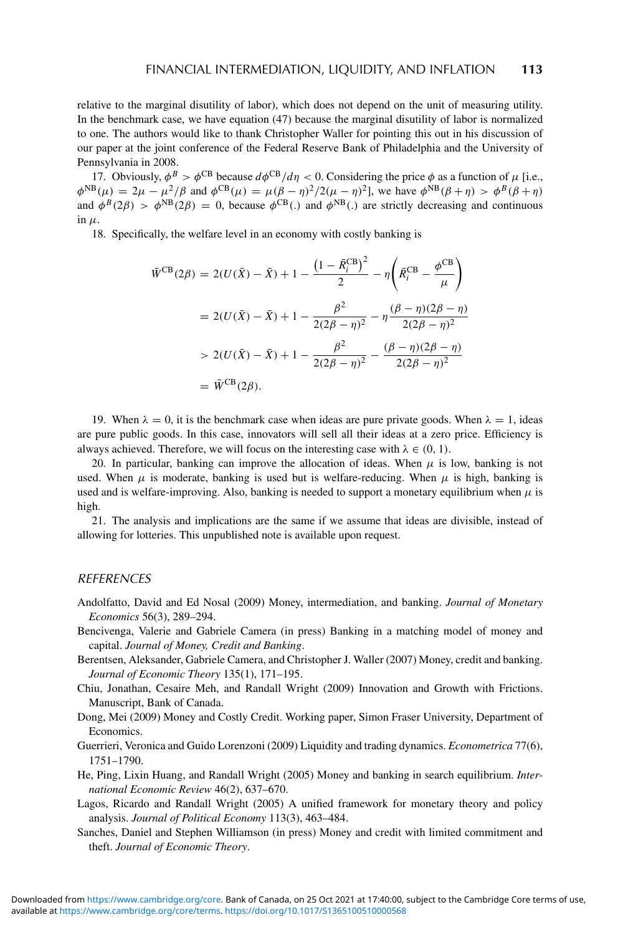relative to the marginal disutility of labor), which does not depend on the unit of measuring utility. In the benchmark case, we have equation (47) because the marginal disutility of labor is normalized to one. The authors would like to thank Christopher Waller for pointing this out in his discussion of our paper at the joint conference of the Federal Reserve Bank of Philadelphia and the University of Pennsylvania in 2008.

17. Obviously,  $\phi^B > \phi^{CB}$  because  $d\phi^{CB}/d\eta < 0$ . Considering the price  $\phi$  as a function of  $\mu$  [i.e.,  $\phi^{\text{NB}}(\mu) = 2\mu - \mu^2/\beta$  and  $\phi^{\text{CB}}(\mu) = \mu(\beta - \eta)^2/2(\mu - \eta)^2$ , we have  $\phi^{\text{NB}}(\beta + \eta) > \phi^B(\beta + \eta)$ and  $\phi^B(2\beta) > \phi^{NB}(2\beta) = 0$ , because  $\phi^{CB}$ (.) and  $\phi^{NB}$ (.) are strictly decreasing and continuous in  $\mu$ .

18. Specifically, the welfare level in an economy with costly banking is

$$
\bar{W}^{CB}(2\beta) = 2(U(\bar{X}) - \bar{X}) + 1 - \frac{\left(1 - \bar{R}_i^{CB}\right)^2}{2} - \eta \left(\bar{R}_i^{CB} - \frac{\phi^{CB}}{\mu}\right)
$$

$$
= 2(U(\bar{X}) - \bar{X}) + 1 - \frac{\beta^2}{2(2\beta - \eta)^2} - \eta \frac{(\beta - \eta)(2\beta - \eta)}{2(2\beta - \eta)^2}
$$

$$
> 2(U(\bar{X}) - \bar{X}) + 1 - \frac{\beta^2}{2(2\beta - \eta)^2} - \frac{(\beta - \eta)(2\beta - \eta)}{2(2\beta - \eta)^2}
$$

$$
= \bar{W}^{CB}(2\beta).
$$

19. When  $\lambda = 0$ , it is the benchmark case when ideas are pure private goods. When  $\lambda = 1$ , ideas are pure public goods. In this case, innovators will sell all their ideas at a zero price. Efficiency is always achieved. Therefore, we will focus on the interesting case with  $\lambda \in (0, 1)$ .

20. In particular, banking can improve the allocation of ideas. When  $\mu$  is low, banking is not used. When  $\mu$  is moderate, banking is used but is welfare-reducing. When  $\mu$  is high, banking is used and is welfare-improving. Also, banking is needed to support a monetary equilibrium when  $\mu$  is high.

21. The analysis and implications are the same if we assume that ideas are divisible, instead of allowing for lotteries. This unpublished note is available upon request.

#### **REFERENCES**

- Andolfatto, David and Ed Nosal (2009) Money, intermediation, and banking. *Journal of Monetary Economics* 56(3), 289–294.
- Bencivenga, Valerie and Gabriele Camera (in press) Banking in a matching model of money and capital. *Journal of Money, Credit and Banking*.
- Berentsen, Aleksander, Gabriele Camera, and Christopher J. Waller (2007) Money, credit and banking. *Journal of Economic Theory* 135(1), 171–195.
- Chiu, Jonathan, Cesaire Meh, and Randall Wright (2009) Innovation and Growth with Frictions. Manuscript, Bank of Canada.
- Dong, Mei (2009) Money and Costly Credit. Working paper, Simon Fraser University, Department of Economics.
- Guerrieri, Veronica and Guido Lorenzoni (2009) Liquidity and trading dynamics. *Econometrica* 77(6), 1751–1790.
- He, Ping, Lixin Huang, and Randall Wright (2005) Money and banking in search equilibrium. *International Economic Review* 46(2), 637–670.
- Lagos, Ricardo and Randall Wright (2005) A unified framework for monetary theory and policy analysis. *Journal of Political Economy* 113(3), 463–484.
- Sanches, Daniel and Stephen Williamson (in press) Money and credit with limited commitment and theft. *Journal of Economic Theory*.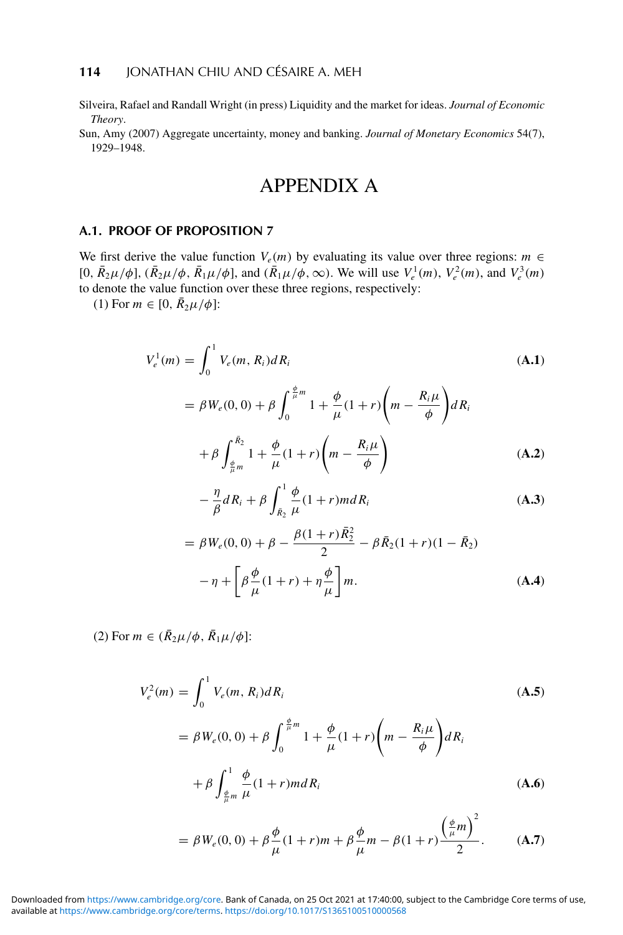#### 114 **JONATHAN CHIU AND CÉSAIRE A. MEH**

Silveira, Rafael and Randall Wright (in press) Liquidity and the market for ideas. *Journal of Economic Theory*.

Sun, Amy (2007) Aggregate uncertainty, money and banking. *Journal of Monetary Economics* 54(7), 1929–1948.

# APPENDIX A

#### **A.1. PROOF OF PROPOSITION 7**

We first derive the value function  $V_e(m)$  by evaluating its value over three regions:  $m \in$ [0,  $\bar{R}_2\mu/\phi$ ],  $(\bar{R}_2\mu/\phi, \bar{R}_1\mu/\phi)$ , and  $(\bar{R}_1\mu/\phi, \infty)$ . We will use  $V_e^1(m)$ ,  $V_e^2(m)$ , and  $V_e^3(m)$ to denote the value function over these three regions, respectively:

(1) For  $m \in [0, \bar{R}_2\mu/\phi]$ :

$$
V_e^1(m) = \int_0^1 V_e(m, R_i) dR_i
$$
\n
$$
= \beta W_e(0, 0) + \beta \int_0^{\frac{\phi}{\mu} m} 1 + \frac{\phi}{\mu} (1+r) \left(m - \frac{R_i \mu}{\phi}\right) dR_i
$$
\n
$$
+ \beta \int_{\frac{\phi}{\mu} m}^{\frac{\bar{R}_2}{\mu}} 1 + \frac{\phi}{\mu} (1+r) \left(m - \frac{R_i \mu}{\phi}\right)
$$
\n(A.2)

$$
-\frac{\eta}{\beta}dR_i + \beta \int_{\bar{R}_2}^1 \frac{\phi}{\mu}(1+r)mdR_i
$$
\n(A.3)

$$
= \beta W_e(0,0) + \beta - \frac{\beta(1+r)\bar{R}_2^2}{2} - \beta \bar{R}_2(1+r)(1-\bar{R}_2)
$$

$$
-\eta + \left[\beta \frac{\phi}{\mu}(1+r) + \eta \frac{\phi}{\mu}\right]m.
$$
 (A.4)

(2) For  $m \in (\bar{R}_2 \mu/\phi, \bar{R}_1 \mu/\phi)$ :

$$
V_e^2(m) = \int_0^1 V_e(m, R_i) dR_i
$$
\n
$$
= \beta W_e(0, 0) + \beta \int_0^{\frac{\phi}{\mu} m} 1 + \frac{\phi}{\mu} (1+r) \left(m - \frac{R_i \mu}{\phi}\right) dR_i
$$
\n
$$
+ \beta \int_{\frac{\phi}{\mu} m}^1 \frac{\phi}{\mu} (1+r) m dR_i
$$
\n(A.6)

$$
= \beta W_e(0,0) + \beta \frac{\phi}{\mu} (1+r)m + \beta \frac{\phi}{\mu} m - \beta (1+r) \frac{\left(\frac{\phi}{\mu} m\right)^2}{2}.
$$
 (A.7)

available at [https://www.cambridge.org/core/terms.](https://www.cambridge.org/core/terms)<https://doi.org/10.1017/S1365100510000568> Downloaded from<https://www.cambridge.org/core>. Bank of Canada, on 25 Oct 2021 at 17:40:00, subject to the Cambridge Core terms of use,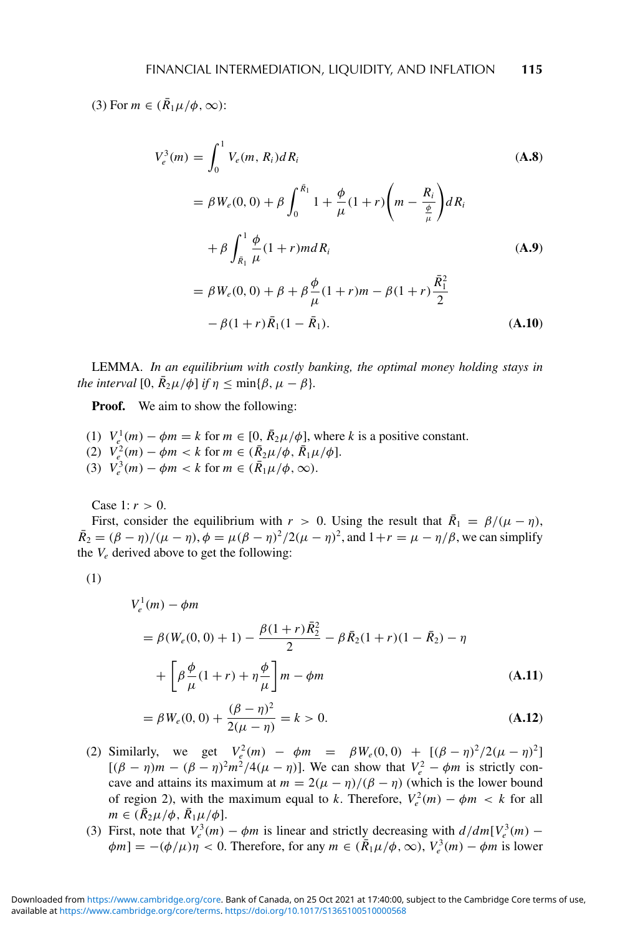(3) For  $m \in (\bar{R}_1\mu/\phi, \infty)$ :

$$
V_e^3(m) = \int_0^1 V_e(m, R_i) dR_i
$$
\n
$$
= \beta W_e(0, 0) + \beta \int_0^{\bar{R}_1} 1 + \frac{\phi}{\mu} (1+r) \left(m - \frac{R_i}{\frac{\phi}{\mu}}\right) dR_i
$$
\n
$$
+ \beta \int_{\bar{R}_1}^1 \frac{\phi}{\mu} (1+r) m dR_i
$$
\n
$$
= \beta W_e(0, 0) + \beta + \beta \frac{\phi}{\mu} (1+r) m - \beta (1+r) \frac{\bar{R}_1^2}{2}
$$
\n
$$
- \beta (1+r) \bar{R}_1 (1-\bar{R}_1).
$$
\n(A.10)

LEMMA. *In an equilibrium with costly banking, the optimal money holding stays in the interval*  $[0, \overline{R_2\mu}/\phi]$  *if*  $\eta \le \min\{\beta, \mu - \beta\}.$ 

**Proof.** We aim to show the following:

- (1)  $V_e^1(m) \phi m = k$  for  $m \in [0, \bar{R}_2\mu/\phi]$ , where *k* is a positive constant.
- (2)  $V_e^2(m) \phi m < k \text{ for } m \in (\bar{R}_2\mu/\phi, \bar{R}_1\mu/\phi).$
- (3)  $V_e^3(m) \phi m < k \text{ for } m \in (\bar{R}_1 \mu/\phi, \infty)$ .

Case 1:  $r > 0$ .

First, consider the equilibrium with  $r > 0$ . Using the result that  $\bar{R}_1 = \beta/(\mu - \eta)$ ,  $\bar{R}_2 = (\beta - \eta)/(\mu - \eta), \phi = \mu(\beta - \eta)^2/2(\mu - \eta)^2$ , and  $1 + r = \mu - \eta/\beta$ , we can simplify the  $V_e$  derived above to get the following:

(1)

$$
V_e^1(m) - \phi m
$$
  
=  $\beta(W_e(0, 0) + 1) - \frac{\beta(1+r)\bar{R}_2^2}{2} - \beta \bar{R}_2(1+r)(1-\bar{R}_2) - \eta$   
+  $\left[\beta \frac{\phi}{\mu}(1+r) + \eta \frac{\phi}{\mu}\right]m - \phi m$  (A.11)

$$
= \beta W_e(0,0) + \frac{(\beta - \eta)^2}{2(\mu - \eta)} = k > 0.
$$
\n(A.12)

- (2) Similarly, we get  $V_e^2(m) \phi m = \beta W_e(0, 0) + [(\beta \eta)^2/2(\mu \eta)^2]$  $[(\beta - \eta)m - (\beta - \eta)^2m^2/4(\mu - \eta)]$ . We can show that  $V_e^2 - \phi m$  is strictly concave and attains its maximum at  $m = 2(\mu - \eta)/(\beta - \eta)$  (which is the lower bound of region 2), with the maximum equal to *k*. Therefore,  $V_e^2(m) - \phi m < k$  for all  $m \in (\bar{R}_2\mu/\phi, \bar{R}_1\mu/\phi).$
- (3) First, note that  $V_e^3(m) \phi m$  is linear and strictly decreasing with  $d/dm[V_e^3(m) \phi$ *m*] =  $-(\phi/\mu)\eta$  < 0. Therefore, for any  $m \in (\bar{R}_1\mu/\phi, \infty)$ ,  $V_e^3(m) - \phi m$  is lower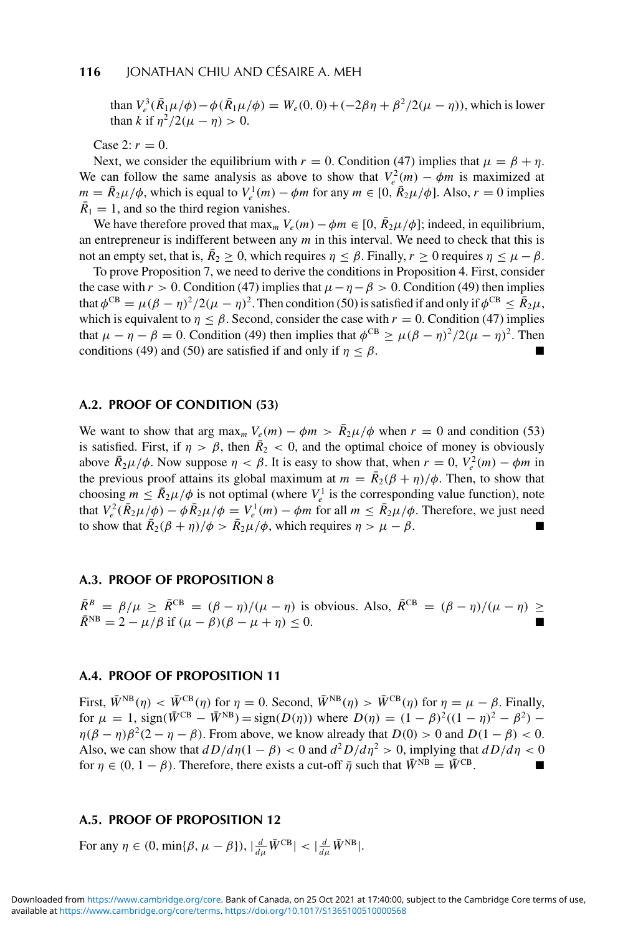than  $V_e^3(\bar{R}_1\mu/\phi) - \phi(\bar{R}_1\mu/\phi) = W_e(0, 0) + (-2\beta\eta + \beta^2/2(\mu - \eta))$ , which is lower than *k* if  $\eta^2/2(\mu - \eta) > 0$ .

Case 2:  $r = 0$ .

Next, we consider the equilibrium with  $r = 0$ . Condition (47) implies that  $\mu = \beta + \eta$ . We can follow the same analysis as above to show that  $V_e^2(m) - \phi m$  is maximized at  $m = \bar{R}_2 \mu/\phi$ , which is equal to  $V_e^1(m) - \phi m$  for any  $m \in [0, \bar{R}_2 \mu/\phi]$ . Also,  $r = 0$  implies  $\overline{R}_1 = 1$ , and so the third region vanishes.

We have therefore proved that  $\max_m V_e(m) - \phi m \in [0, \bar{R}_2\mu/\phi]$ ; indeed, in equilibrium, an entrepreneur is indifferent between any *m* in this interval. We need to check that this is not an empty set, that is,  $\bar{R}_2 \ge 0$ , which requires  $\eta \le \beta$ . Finally,  $r \ge 0$  requires  $\eta \le \mu - \beta$ .

To prove Proposition 7, we need to derive the conditions in Proposition 4. First, consider the case with *r* > 0. Condition (47) implies that  $\mu - \eta - \beta > 0$ . Condition (49) then implies that  $\phi^{CB} = \mu (\beta - \eta)^2 / 2(\mu - \eta)^2$ . Then condition (50) is satisfied if and only if  $\phi^{CB} < \bar{R}_2 \mu$ , which is equivalent to  $\eta < \beta$ . Second, consider the case with  $r = 0$ . Condition (47) implies that  $\mu - \eta - \beta = 0$ . Condition (49) then implies that  $\phi^{CB} \ge \mu (\beta - \eta)^2 / 2(\mu - \eta)^2$ . Then conditions (49) and (50) are satisfied if and only if  $\eta < \beta$ .

#### **A.2. PROOF OF CONDITION (53)**

We want to show that arg max<sub>*m*</sub>  $V_e(m) - \phi m > \bar{R}_2 \mu/\phi$  when  $r = 0$  and condition (53) is satisfied. First, if  $\eta > \beta$ , then  $\bar{R}_2 < 0$ , and the optimal choice of money is obviously above  $\bar{R}_2\mu/\phi$ . Now suppose  $\eta < \beta$ . It is easy to show that, when  $r = 0$ ,  $V_e^2(m) - \phi m$  in the previous proof attains its global maximum at  $m = \bar{R}_2(\beta + \eta)/\phi$ . Then, to show that choosing  $m \le \bar{R}_2 \mu/\phi$  is not optimal (where  $V_e^1$  is the corresponding value function), note that  $V_e^2(\bar{R}_2\mu/\phi) - \phi \bar{R}_2\mu/\phi = V_e^1(m) - \phi m$  for all  $m \le \bar{R}_2\mu/\phi$ . Therefore, we just need to show that  $\bar{R}_2(\beta + \eta)/\phi > \bar{R}_2\mu/\phi$ , which requires  $\eta > \mu - \beta$ .

#### **A.3. PROOF OF PROPOSITION 8**

 $\bar{R}^B = \beta/\mu \geq \bar{R}^{CB} = (\beta - \eta)/(\mu - \eta)$  is obvious. Also,  $\bar{R}^{CB} = (\beta - \eta)/(\mu - \eta) \geq$  $\bar{R}^{NB} = 2 - \mu/\beta$  if  $(\mu - \beta)(\beta - \mu + \eta) \leq 0$ .

#### **A.4. PROOF OF PROPOSITION 11**

First,  $\bar{W}^{NB}(\eta) < \bar{W}^{CB}(\eta)$  for  $\eta = 0$ . Second,  $\bar{W}^{NB}(\eta) > \bar{W}^{CB}(\eta)$  for  $\eta = \mu - \beta$ . Finally, for  $\mu = 1$ , sign( $\bar{W}^{CB} - \bar{W}^{NB}$ ) = sign( $D(\eta)$ ) where  $D(\eta) = (1 - \beta)^2((1 - \eta)^2 - \beta^2)$  – *η*( $\beta - \eta$ ) $\beta^2(2 - \eta - \beta)$ . From above, we know already that  $D(0) > 0$  and  $D(1 - \beta) < 0$ . Also, we can show that  $dD/d\eta(1-\beta) < 0$  and  $d^2D/d\eta^2 > 0$ , implying that  $dD/d\eta < 0$ for  $\eta \in (0, 1 - \beta)$ . Therefore, there exists a cut-off  $\bar{\eta}$  such that  $\bar{W}^{NB} = \bar{W}^{CB}$ .

#### **A.5. PROOF OF PROPOSITION 12**

For any  $\eta \in (0, \min\{\beta, \mu - \beta\}), |\frac{d}{d\mu}\overline{W}^{CB}| < |\frac{d}{d\mu}\overline{W}^{NB}|.$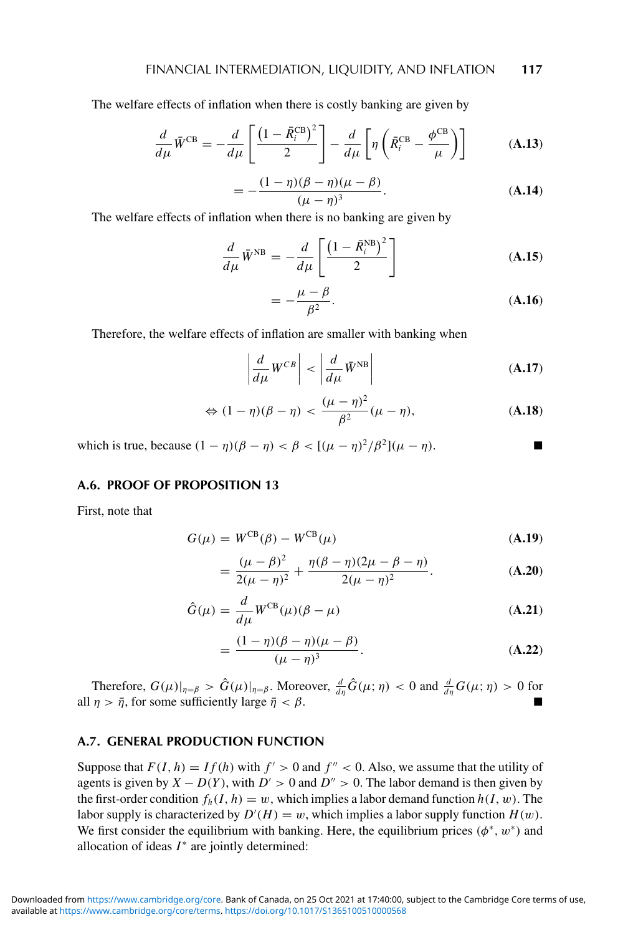The welfare effects of inflation when there is costly banking are given by

$$
\frac{d}{d\mu}\bar{W}^{\text{CB}} = -\frac{d}{d\mu}\left[\frac{\left(1-\bar{R}_{i}^{\text{CB}}\right)^{2}}{2}\right] - \frac{d}{d\mu}\left[\eta\left(\bar{R}_{i}^{\text{CB}} - \frac{\phi^{\text{CB}}}{\mu}\right)\right]
$$
(A.13)

$$
= -\frac{(1-\eta)(\beta-\eta)(\mu-\beta)}{(\mu-\eta)^3}.
$$
 (A.14)

The welfare effects of inflation when there is no banking are given by

$$
\frac{d}{d\mu}\bar{W}^{\text{NB}} = -\frac{d}{d\mu} \left[ \frac{\left(1 - \bar{R}_i^{\text{NB}}\right)^2}{2} \right]
$$
\n(A.15)

$$
=-\frac{\mu-\beta}{\beta^2}.
$$
 (A.16)

Therefore, the welfare effects of inflation are smaller with banking when

$$
\left| \frac{d}{d\mu} W^{CB} \right| < \left| \frac{d}{d\mu} \bar{W}^{NB} \right| \tag{A.17}
$$

$$
\Leftrightarrow (1-\eta)(\beta-\eta) < \frac{(\mu-\eta)^2}{\beta^2}(\mu-\eta), \tag{A.18}
$$

which is true, because  $(1 - \eta)(\beta - \eta) < \beta < [(\mu - \eta)^2/\beta^2](\mu - \eta)$ .

#### **A.6. PROOF OF PROPOSITION 13**

First, note that

$$
G(\mu) = W^{\text{CB}}(\beta) - W^{\text{CB}}(\mu)
$$
\n(A.19)

$$
= \frac{(\mu - \beta)^2}{2(\mu - \eta)^2} + \frac{\eta(\beta - \eta)(2\mu - \beta - \eta)}{2(\mu - \eta)^2}.
$$
 (A.20)

$$
\hat{G}(\mu) = \frac{d}{d\mu} W^{CB}(\mu)(\beta - \mu)
$$
\n(A.21)

$$
= \frac{(1 - \eta)(\beta - \eta)(\mu - \beta)}{(\mu - \eta)^3}.
$$
 (A.22)

Therefore,  $G(\mu)|_{\eta=\beta} > \hat{G}(\mu)|_{\eta=\beta}$ . Moreover,  $\frac{d}{d\eta}\hat{G}(\mu;\eta) < 0$  and  $\frac{d}{d\eta}G(\mu;\eta) > 0$  for all  $\eta > \bar{\eta}$ , for some sufficiently large  $\bar{\eta} < \beta$ .

#### **A.7. GENERAL PRODUCTION FUNCTION**

Suppose that  $F(I, h) = If(h)$  with  $f' > 0$  and  $f'' < 0$ . Also, we assume that the utility of agents is given by  $X - D(Y)$ , with  $D' > 0$  and  $D'' > 0$ . The labor demand is then given by the first-order condition  $f_h(I, h) = w$ , which implies a labor demand function  $h(I, w)$ . The labor supply is characterized by  $D'(H) = w$ , which implies a labor supply function  $H(w)$ . We first consider the equilibrium with banking. Here, the equilibrium prices *(φ*<sup>∗</sup>*, w*<sup>∗</sup>*)* and allocation of ideas  $I^*$  are jointly determined: